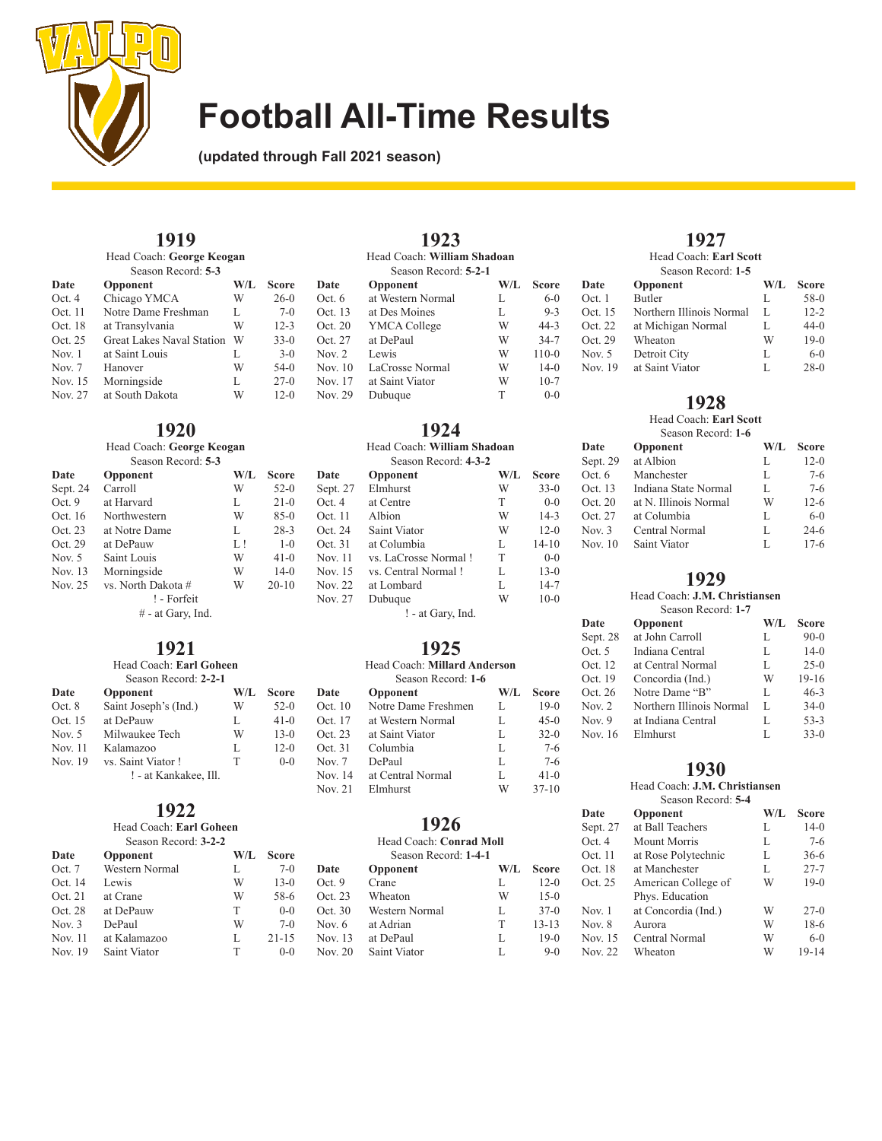

**(updated through Fall 2021 season)**

## **1919**

| Head Coach: George Keogan |                                  |     |              |           |
|---------------------------|----------------------------------|-----|--------------|-----------|
|                           | Season Record: 5-3               |     |              |           |
| Date                      | Opponent                         | W/L | <b>Score</b> | Date      |
| Oct. 4                    | Chicago YMCA                     | W   | $26-0$       | Oct. $6$  |
| Oct. 11                   | Notre Dame Freshman              | L   | $7-0$        | Oct. 13   |
| Oct. 18                   | at Transylvania                  | W   | $12 - 3$     | Oct. 20   |
| Oct. 25                   | <b>Great Lakes Naval Station</b> | W   | $33-0$       | Oct. 27   |
| Nov. $1$                  | at Saint Louis                   | L   | $3-0$        | Nov. $2$  |
| Nov. $7$                  | Hanover                          | W   | $54-0$       | Nov. $10$ |
| Nov. 15                   | Morningside                      | L   | $27-0$       | Nov. 17   |
| Nov. 27                   | at South Dakota                  | W   | $12-0$       | Nov. 29   |

#### **1920** Head Coach: **George Keogan**

| Head Coacil. George Reogail |                     |     |           |  |  |
|-----------------------------|---------------------|-----|-----------|--|--|
|                             | Season Record: 5-3  |     |           |  |  |
| Date                        | Opponent            | W/L | Score     |  |  |
| Sept. 24                    | Carroll             | W   | $52-0$    |  |  |
| Oct.9                       | at Harvard          | L   | $21-0$    |  |  |
| Oct. 16                     | Northwestern        | W   | $85-0$    |  |  |
| Oct. 23                     | at Notre Dame       | L   | $28-3$    |  |  |
| Oct. 29                     | at DePauw           | LI  | $1 - 0$   |  |  |
| Nov. $5$                    | Saint Louis         | W   | $41-0$    |  |  |
| Nov. 13                     | Morningside         | W   | $14-0$    |  |  |
| Nov. 25                     | vs. North Dakota #  | W   | $20 - 10$ |  |  |
|                             | ! - Forfeit         |     |           |  |  |
|                             | $#$ - at Gary, Ind. |     |           |  |  |

# **1921**

| Head Coach: Earl Goheen |                       |     |        |  |
|-------------------------|-----------------------|-----|--------|--|
|                         | Season Record: 2-2-1  |     |        |  |
| Date                    | Opponent              | W/L | Score  |  |
| Oct. 8                  | Saint Joseph's (Ind.) | W   | $52-0$ |  |
| Oct. 15                 | at DePauw             | L   | $41-0$ |  |
| Nov. $5$                | Milwaukee Tech        | W   | $13-0$ |  |
| Nov. 11                 | Kalamazoo             | L   | $12-0$ |  |
| Nov. 19                 | vs. Saint Viator!     | т   | $0-0$  |  |
|                         | ! - at Kankakee, Ill. |     |        |  |

# **1922**

Head Coach: **Earl Goheen** Season Record: **3-2-2**

| Date     | Opponent       | W/L | <b>Score</b> |   |
|----------|----------------|-----|--------------|---|
| Oct. 7   | Western Normal | L   | $7-0$        | I |
| Oct. 14  | Lewis          | W   | $13-0$       |   |
| Oct. 21  | at Crane       | W   | 58-6         |   |
| Oct. 28  | at DePauw      | T   | $0 - 0$      | ( |
| Nov. $3$ | DePaul         | W   | $7-0$        | ľ |
| Nov. 11  | at Kalamazoo   | L   | $21 - 15$    | ľ |
| Nov. 19  | Saint Viator   | T   | $0 - 0$      | ٢ |
|          |                |     |              |   |

| 1923    |                             |     |              |  |
|---------|-----------------------------|-----|--------------|--|
|         | Head Coach: William Shadoan |     |              |  |
|         | Season Record: 5-2-1        |     |              |  |
| Date    | Opponent                    | W/L | <b>Score</b> |  |
| Oct. 6  | at Western Normal           | L   | $6-0$        |  |
| Oct. 13 | at Des Moines               | L   | $9 - 3$      |  |
| Oct. 20 | YMCA College                | W   | $44 - 3$     |  |
| Oct. 27 | at DePaul                   | W   | $34 - 7$     |  |
| Nov. 2  | Lewis                       | W   | $110-0$      |  |
| Nov. 10 | LaCrosse Normal             | W   | $14-0$       |  |
| Nov. 17 | at Saint Viator             | W   | $10-7$       |  |
| Nov 29  | Dubuaue                     | т   | $0 - 0$      |  |

## **1924**

| Head Coach: William Shadoan<br>Season Record: 4-3-2 |                      |     |              |  |  |
|-----------------------------------------------------|----------------------|-----|--------------|--|--|
| Date                                                | Opponent             | W/L | <b>Score</b> |  |  |
| Sept. 27                                            | Elmhurst             | W   | $33-0$       |  |  |
| Oct.4                                               | at Centre            | T   | $0-0$        |  |  |
| Oct.11                                              | Albion               | W   | $14-3$       |  |  |
| Oct. 24                                             | Saint Viator         | W   | $12-0$       |  |  |
| Oct. 31                                             | at Columbia          | L   | $14 - 10$    |  |  |
| Nov. 11                                             | vs. LaCrosse Normal! | T   | $0 - 0$      |  |  |
| Nov. 15                                             | vs. Central Normal!  | L   | $13-0$       |  |  |
| Nov. 22                                             | at Lombard           | L   | $14 - 7$     |  |  |
| Nov. 27                                             | Dubuque              | W   | $10-0$       |  |  |
|                                                     | ! - at Gary, Ind.    |     |              |  |  |

### **1925**

| Head Coach: Millard Anderson |     |              |  |  |
|------------------------------|-----|--------------|--|--|
| Season Record: 1-6           |     |              |  |  |
| <b>Opponent</b>              | W/L | <b>Score</b> |  |  |
| Notre Dame Freshmen          | L.  | $19-0$       |  |  |
| at Western Normal            | Ι.  | $45-0$       |  |  |
|                              |     |              |  |  |

| Oct. $17$ | at Western Normal | L. | $45-0$  |
|-----------|-------------------|----|---------|
| Oct. 23   | at Saint Viator   | L  | $32-0$  |
| Oct. 31   | Columbia          | L  | $7-6$   |
| Nov. $7$  | DePaul            | L  | $7-6$   |
| Nov. 14   | at Central Normal | L  | $41-0$  |
| Nov. 21   | Elmhurst          | W  | $37-10$ |
|           |                   |    |         |

### **1926**

### Head Coach: **Conrad Moll**

| Season Record: 1-4-1 |                |     |              |
|----------------------|----------------|-----|--------------|
| Date                 | Opponent       | W/L | <b>Score</b> |
| Oct. 9               | Crane          | L   | $12 - 0$     |
| Oct. 23              | Wheaton        | W   | $15-0$       |
| Oct. 30              | Western Normal | L   | $37-0$       |
| Nov. 6               | at Adrian      | T   | $13 - 13$    |
| Nov. 13              | at DePaul      | L   | $19-0$       |
| <b>Nov. 20</b>       | Saint Viator   | L   | $9-0$        |
|                      |                |     |              |

### **1927**

Head Coach: **Earl Scott**

| Season Record: 1-5 |                          |     |              |
|--------------------|--------------------------|-----|--------------|
| Date               | Opponent                 | W/L | <b>Score</b> |
| Oct. 1             | <b>Butler</b>            | L   | $58-0$       |
| Oct. 15            | Northern Illinois Normal | L   | $12 - 2$     |
| Oct. 22            | at Michigan Normal       | L   | $44-0$       |
| Oct. 29            | Wheaton                  | W   | $19-0$       |
| Nov. 5             | Detroit City             | L   | $6-0$        |
| Nov. 19            | at Saint Viator          | L   | $28-0$       |
|                    |                          |     |              |

### **1928**

## Head Coach: **Earl Scott**

| Season Record: 1-6 |                       |     |              |
|--------------------|-----------------------|-----|--------------|
| Date               | Opponent              | W/L | <b>Score</b> |
| Sept. 29           | at Albion             | L   | $12-0$       |
| Oct. 6             | Manchester            | L   | $7-6$        |
| Oct. 13            | Indiana State Normal  | L   | $7-6$        |
| Oct. 20            | at N. Illinois Normal | W   | $12-6$       |
| Oct. 27            | at Columbia           | L   | $6-0$        |
| Nov. 3             | Central Normal        | L   | $24-6$       |
| Nov. 10            | Saint Viator          | L   | $17-6$       |

### **1929**

#### Head Coach: **J.M. Christiansen** Season Record: **1-7**

| Date     | Opponent                 | W/L | <b>Score</b> |
|----------|--------------------------|-----|--------------|
| Sept. 28 | at John Carroll          | L   | $90-0$       |
| Oct. 5   | Indiana Central          | L   | $14-0$       |
| Oct. 12  | at Central Normal        | L   | $25-0$       |
| Oct. 19  | Concordia (Ind.)         | W   | $19-16$      |
| Oct. 26  | Notre Dame "B"           | L   | $46 - 3$     |
| Nov. 2   | Northern Illinois Normal | L   | $34-0$       |
| Nov. 9   | at Indiana Central       | L   | $53 - 3$     |
| Nov. 16  | Elmhurst                 | L   | $33-0$       |
|          |                          |     |              |

### **1930**

#### Head Coach: **J.M. Christiansen** Season Record: **5-4**

| Date     | Opponent            | W/L | <b>Score</b> |
|----------|---------------------|-----|--------------|
| Sept. 27 | at Ball Teachers    | L   | $14-0$       |
| Oct.4    | <b>Mount Morris</b> | L   | $7-6$        |
| Oct. 11  | at Rose Polytechnic | L   | $36-6$       |
| Oct. 18  | at Manchester       | L   | $27 - 7$     |
| Oct. 25  | American College of | W   | $19-0$       |
|          | Phys. Education     |     |              |
| Nov. 1   | at Concordia (Ind.) | W   | $27-0$       |
| Nov. 8   | Aurora              | W   | $18-6$       |
| Nov. 15  | Central Normal      | W   | $6 - 0$      |
| Nov. 22  | Wheaton             | W   | 19-14        |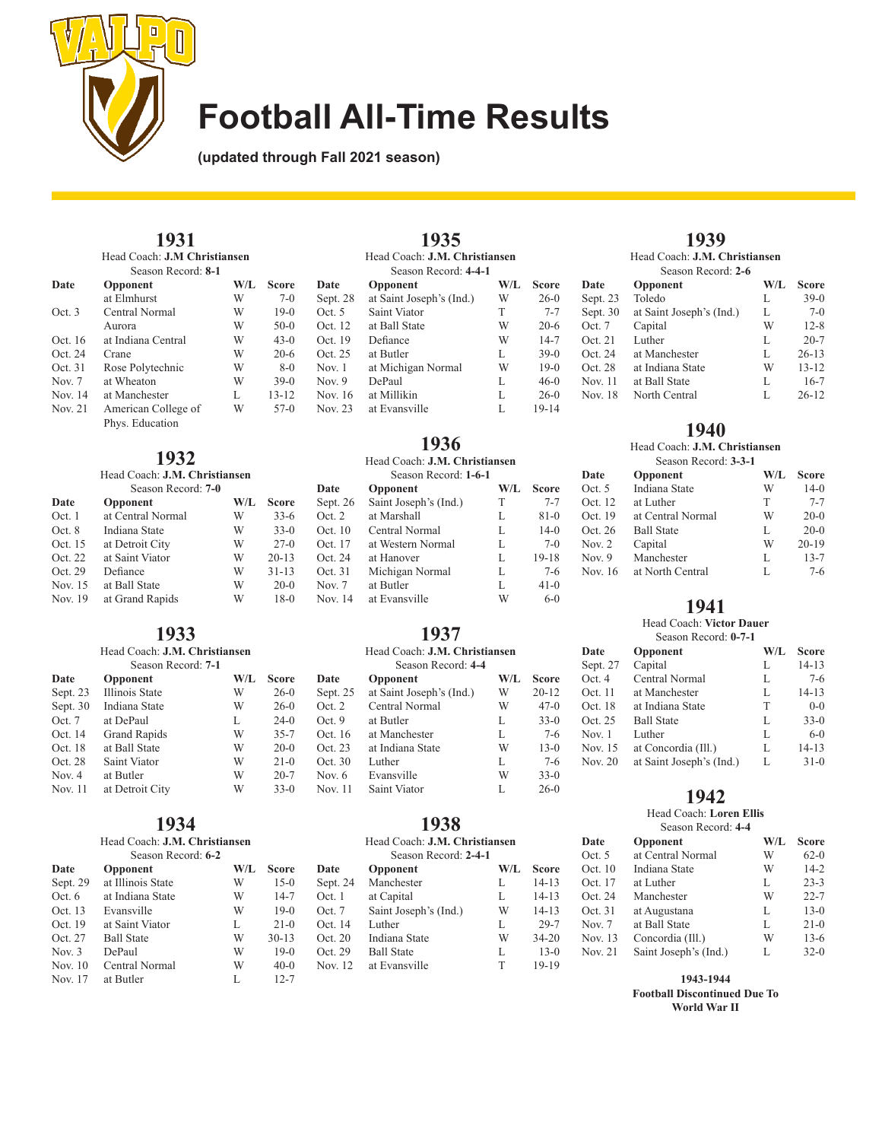

**(updated through Fall 2021 season)**

#### **1931** Head Coach: **J.M Christiansen** Season Record: **8-1**

| Date     | Opponent                               | W/L | <b>Score</b> | Date       |
|----------|----------------------------------------|-----|--------------|------------|
|          | at Elmhurst                            | W   | $7-0$        | Sept. $28$ |
| Oct.3    | Central Normal                         | W   | $19-0$       | Oct. 5     |
|          | Aurora                                 | W   | $50-0$       | Oct. 12    |
| Oct. 16  | at Indiana Central                     | W   | $43-0$       | Oct. 19    |
| Oct. 24  | Crane                                  | W   | $20-6$       | Oct. 25    |
| Oct. 31  | Rose Polytechnic                       | W   | $8-0$        | Nov. $1$   |
| Nov. $7$ | at Wheaton                             | W   | $39-0$       | Nov. $9$   |
| Nov. 14  | at Manchester                          | L   | $13 - 12$    | Nov. $16$  |
| Nov. 21  | American College of<br>Phys. Education | W   | $57-0$       | Nov. $23$  |

| Head Coach: <b>J.M. Christiansen</b> |                   |     |              |            |
|--------------------------------------|-------------------|-----|--------------|------------|
| Season Record: 7-0                   |                   |     |              | Date       |
| Date                                 | Opponent          | W/L | <b>Score</b> | Sept. $20$ |
| Oct. 1                               | at Central Normal | W   | $33-6$       | Oct. 2     |
| Oct. 8                               | Indiana State     | W   | $33-0$       | Oct. 10    |
| Oct. 15                              | at Detroit City   | W   | $27-0$       | Oct. 17    |
| Oct. 22                              | at Saint Viator   | W   | $20 - 13$    | Oct. 24    |
| Oct. 29                              | Defiance          | W   | $31 - 13$    | Oct. 31    |
| Nov. 15                              | at Ball State     | W   | $20-0$       | Nov. $7$   |
| Nov. 19                              | at Grand Rapids   | W   | $18-0$       | Nov. $14$  |
|                                      |                   |     |              |            |

#### **1933** Head Coach: **J.M. Christiansen**

|                    | пеад Соасп. Ј.М. Спгізнанзен |     |              |
|--------------------|------------------------------|-----|--------------|
| Season Record: 7-1 |                              |     |              |
| Date               | Opponent                     | W/L | <b>Score</b> |
| Sept. 23           | Illinois State               | W   | $26-0$       |
| Sept. 30           | Indiana State                | W   | $26-0$       |
| Oct. 7             | at DePaul                    | L   | $24-0$       |
| Oct. 14            | <b>Grand Rapids</b>          | W   | $35 - 7$     |
| Oct. 18            | at Ball State                | W   | $20-0$       |
| Oct. 28            | Saint Viator                 | W   | $21-0$       |
| Nov. 4             | at Butler                    | W   | $20 - 7$     |
|                    |                              |     |              |

### **1934**

Nov. 11 at Detroit City W 33-0

#### Head Coach: **J.M. Christiansen** Season Record: **6-2**

| Date      | Opponent          | W/L | <b>Score</b> |
|-----------|-------------------|-----|--------------|
| Sept. 29  | at Illinois State | W   | $15-0$       |
| Oct. 6    | at Indiana State  | W   | $14 - 7$     |
| Oct. 13   | Evansville        | W   | $19-0$       |
| Oct. 19   | at Saint Viator   | L   | $21-0$       |
| Oct. 27   | <b>Ball State</b> | W   | $30 - 13$    |
| Nov. $3$  | DePaul            | W   | $19-0$       |
| Nov. $10$ | Central Normal    | W   | $40-0$       |
| Nov. 17   | at Butler         | L   | $12 - 7$     |

| Opponent                 | W/L  | <b>Score</b>                                          |
|--------------------------|------|-------------------------------------------------------|
| at Saint Joseph's (Ind.) | W    | $26-0$                                                |
| Saint Viator             | T    | $7 - 7$                                               |
| at Ball State            | W    | $20-6$                                                |
| Defiance                 | W    | $14 - 7$                                              |
| at Butler                | L    | $39-0$                                                |
| at Michigan Normal       | W    | $19-0$                                                |
| DePaul                   | L    | $46-0$                                                |
| at Millikin              | L    | $26-0$                                                |
| at Evansville            | L    | $19 - 14$                                             |
|                          | 1933 | Head Coach: J.M. Christiansen<br>Season Record: 4-4-1 |

1035

### **1936** Head Coach: **J.M. Christiansen** Season Record: **1-6-1**

| Date     | Opponent              | W/L | <b>Score</b> |
|----------|-----------------------|-----|--------------|
| Sept. 26 | Saint Joseph's (Ind.) | T   | $7 - 7$      |
| Oct. 2   | at Marshall           | L   | $81-0$       |
| Oct. 10  | Central Normal        | L   | $14-0$       |
| Oct. 17  | at Western Normal     | L   | $7-0$        |
| Oct. 24  | at Hanover            | L   | $19 - 18$    |
| Oct. 31  | Michigan Normal       | L   | $7-6$        |
| Nov. $7$ | at Butler             | L   | $41-0$       |
| Nov. 14  | at Evansville         | W   | $6 - 0$      |

## **1937**

|          | Head Coach: <b>J.M. Christiansen</b> |     |           |
|----------|--------------------------------------|-----|-----------|
|          | Season Record: 4-4                   |     |           |
| Date     | Opponent                             | W/L | Score     |
| Sept. 25 | at Saint Joseph's (Ind.)             | W   | $20 - 12$ |
| Oct. 2   | Central Normal                       | W   | $47-0$    |
| Oct. 9   | at Butler                            | L   | $33-0$    |
| Oct. 16  | at Manchester                        | L   | $7-6$     |
| Oct. 23  | at Indiana State                     | W   | $13-0$    |
| Oct. 30  | Luther                               | L   | $7 - 6$   |
| Nov. $6$ | Evansville                           | W   | $33-0$    |
| Nov. 11  | Saint Viator                         | L   | $26-0$    |

### **1938**

| Head Coach: J.M. Christiansen   |     |              |
|---------------------------------|-----|--------------|
| Season Record: 2-4-1            |     |              |
| Date<br>Opponent                | W/L | <b>Score</b> |
| Manchester<br>Sept. 24          | L   | $14 - 13$    |
| Oct. 1<br>at Capital            | L   | $14 - 13$    |
| Oct. 7<br>Saint Joseph's (Ind.) | W   | $14 - 13$    |
| Oct. 14<br>Luther               | L   | $29 - 7$     |
| Oct. 20<br>Indiana State        | W   | $34 - 20$    |
| Oct. 29<br><b>Ball State</b>    | L   | $13-0$       |
| Nov. 12<br>at Evansville        | Т   | $19 - 19$    |

# **1939**

| Head Coach: J.M. Christiansen |                          |     |           |
|-------------------------------|--------------------------|-----|-----------|
| Season Record: 2-6            |                          |     |           |
| Date                          | Opponent                 | W/L | Score     |
| Sept. 23                      | Toledo                   | L   | $39-0$    |
| Sept. 30                      | at Saint Joseph's (Ind.) | L   | $7-0$     |
| Oct. 7                        | Capital                  | W   | $12 - 8$  |
| Oct. 21                       | Luther                   | L   | $20 - 7$  |
| Oct. 24                       | at Manchester            | L   | $26 - 13$ |
| Oct. 28                       | at Indiana State         | W   | $13 - 12$ |
| Nov. 11                       | at Ball State            | L   | $16-7$    |
| Nov. 18                       | North Central            | L   | $26 - 12$ |

### **1940**

Head Coach: **J.M. Christiansen** Season Record: **3-3-1**

| Season Record: 3-3-1 |                   |     |              |
|----------------------|-------------------|-----|--------------|
| Date                 | Opponent          | W/L | <b>Score</b> |
| Oct. $5$             | Indiana State     | W   | $14-0$       |
| Oct. 12              | at Luther         | T   | $7 - 7$      |
| Oct. 19              | at Central Normal | W   | $20-0$       |
| Oct. 26              | <b>Ball State</b> | L   | $20-0$       |
| Nov. $2$             | Capital           | W   | $20-19$      |
| Nov. $9$             | Manchester        | L   | $13 - 7$     |
| Nov. 16              | at North Central  | L   | $7-6$        |
|                      |                   |     |              |

### **1941**

Head Coach: **Victor Dauer** Season Record: **0-7-1**

| Date<br>Opponent                    | W/L | <b>Score</b> |
|-------------------------------------|-----|--------------|
| Capital<br>Sept. 27                 | L   | $14 - 13$    |
| Oct.4<br>Central Normal             | L   | $7-6$        |
| Oct. 11<br>at Manchester            | L   | $14 - 13$    |
| Oct. 18<br>at Indiana State         | T   | $0-0$        |
| Oct. 25<br><b>Ball State</b>        | L   | $33-0$       |
| Luther<br>Nov. 1                    | L   | $6 - 0$      |
| Nov. 15<br>at Concordia (Ill.)      | L   | $14 - 13$    |
| at Saint Joseph's (Ind.)<br>Nov. 20 | L   | $31-0$       |

### **1942**

Head Coach: **Loren Ellis** Season Record: **4-4**

| Opponent              | W/L | <b>Score</b> |
|-----------------------|-----|--------------|
| at Central Normal     | W   | $62-0$       |
| Indiana State         | W   | $14 - 2$     |
| at Luther             | L   | $23 - 3$     |
| Manchester            | W   | $22 - 7$     |
| at Augustana          | L   | $13-0$       |
| at Ball State         | L   | $21-0$       |
| Concordia (Ill.)      | W   | $13-6$       |
| Saint Joseph's (Ind.) | L   | $32-0$       |
|                       |     |              |

**1943-1944 Football Discontinued Due To World War II**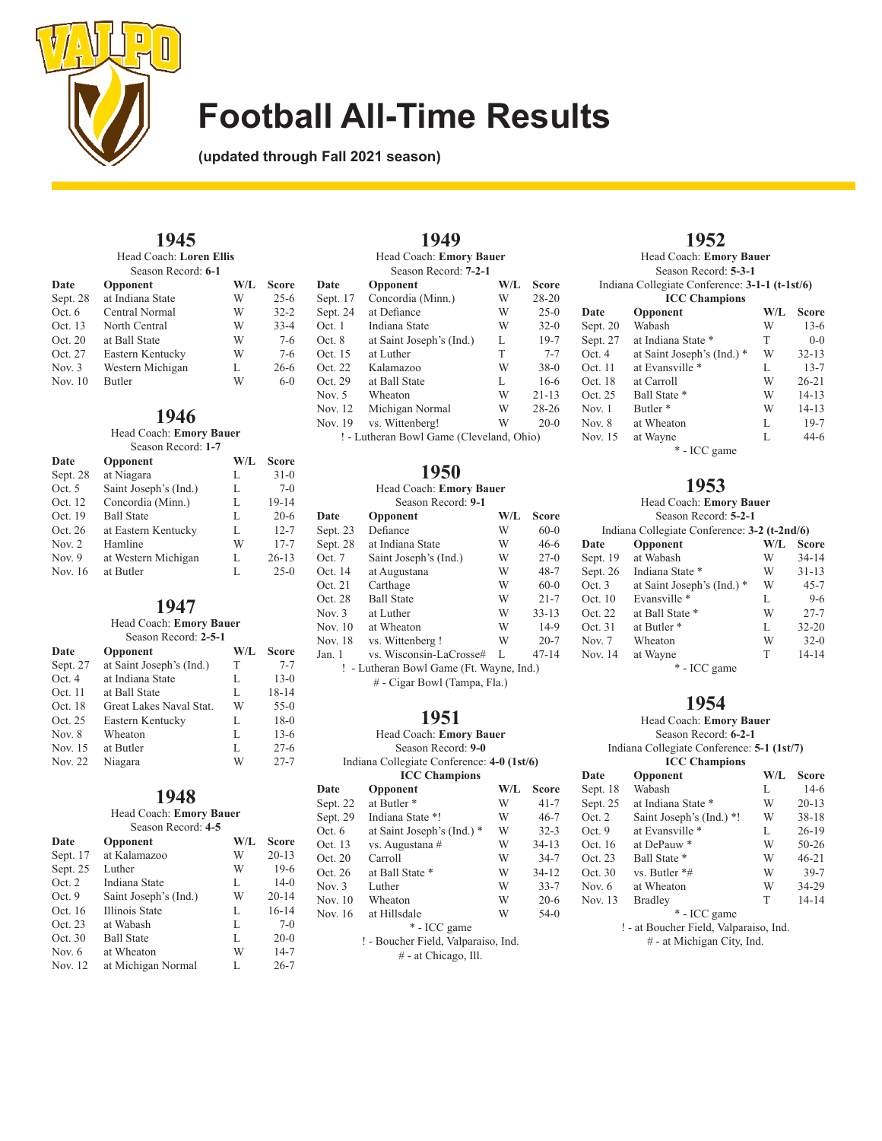

**(updated through Fall 2021 season)**

#### **1945** Head Coach: **Loren Ellis**

| Season Record: 6-1 |  |
|--------------------|--|

| Date      | Opponent         | W/L | <b>Score</b> |
|-----------|------------------|-----|--------------|
| Sept. 28  | at Indiana State | W   | $25 - 6$     |
| Oct. 6    | Central Normal   | W   | $32 - 2$     |
| Oct. 13   | North Central    | W   | $33 - 4$     |
| Oct. 20   | at Ball State    | W   | $7-6$        |
| Oct. 27   | Eastern Kentucky | W   | $7-6$        |
| Nov. $3$  | Western Michigan | L   | $26 - 6$     |
| Nov. $10$ | Butler           | W   | $6-0$        |

### **1946**

Head Coach: **Emory Bauer** Season Record: **1-7**

| Date     | Opponent              | W/L | <b>Score</b> |
|----------|-----------------------|-----|--------------|
| Sept. 28 | at Niagara            | L   | $31 - 0$     |
| Oct. 5   | Saint Joseph's (Ind.) | L   | $7-0$        |
| Oct. 12  | Concordia (Minn.)     | L   | $19 - 14$    |
| Oct. 19  | <b>Ball State</b>     | L   | $20 - 6$     |
| Oct. 26  | at Eastern Kentucky   | L   | $12 - 7$     |
| Nov. $2$ | Hamline               | W   | $17 - 7$     |
| Nov. $9$ | at Western Michigan   | L   | $26 - 13$    |
| Nov. 16  | at Butler             | L   | $25-0$       |

### **1947**

### Head Coach: **Emory Bauer**

| Season Record: 2-5-1 |                          |     |           |  |
|----------------------|--------------------------|-----|-----------|--|
| Date                 | Opponent                 | W/L | Score     |  |
| Sept. 27             | at Saint Joseph's (Ind.) | T   | $7 - 7$   |  |
| Oct.4                | at Indiana State         | L   | $13-0$    |  |
| Oct. 11              | at Ball State            | L   | $18 - 14$ |  |
| Oct. 18              | Great Lakes Naval Stat.  | W   | $55-0$    |  |
| Oct. 25              | Eastern Kentucky         | L   | $18-0$    |  |
| Nov. 8               | Wheaton                  | L   | $13-6$    |  |
| Nov. 15              | at Butler                | L   | $27 - 6$  |  |
| Nov. 22              | Niagara                  | W   | $27 - 7$  |  |

### **1948**

#### Head Coach: **Emory Bauer** Season Record: **4-5**

| Date     | Opponent              | W/L | <b>Score</b> |
|----------|-----------------------|-----|--------------|
| Sept. 17 | at Kalamazoo          | W   | $20 - 13$    |
| Sept. 25 | Luther                | W   | $19-6$       |
| Oct. 2   | Indiana State         | L   | $14-0$       |
| Oct. 9   | Saint Joseph's (Ind.) | W   | $20 - 14$    |
| Oct. 16  | Illinois State        | L   | $16 - 14$    |
| Oct. 23  | at Wabash             | L   | $7-0$        |
| Oct. 30  | <b>Ball State</b>     | L   | $20-0$       |
| Nov. $6$ | at Wheaton            | W   | $14 - 7$     |
| Nov. 12  | at Michigan Normal    | L   | $26 - 7$     |

| 1949                                     |                          |     |           |  |
|------------------------------------------|--------------------------|-----|-----------|--|
| Head Coach: Emory Bauer                  |                          |     |           |  |
|                                          | Season Record: 7-2-1     |     |           |  |
| Date                                     | Opponent                 | W/L | Score     |  |
| Sept. 17                                 | Concordia (Minn.)        | W   | $28 - 20$ |  |
| Sept. 24                                 | at Defiance              | W   | $25-0$    |  |
| Oct. 1                                   | Indiana State            | W   | $32-0$    |  |
| Oct. 8                                   | at Saint Joseph's (Ind.) | L   | $19-7$    |  |
| Oct. 15                                  | at Luther                | T   | $7 - 7$   |  |
| Oct. 22                                  | Kalamazoo                | W   | $38-0$    |  |
| Oct. 29                                  | at Ball State            | L   | $16-6$    |  |
| Nov. 5                                   | Wheaton                  | W   | $21 - 13$ |  |
| Nov. 12                                  | Michigan Normal          | W   | $28 - 26$ |  |
| Nov. 19                                  | vs. Wittenberg!          | W   | $20-0$    |  |
| ! - Lutheran Bowl Game (Cleveland, Ohio) |                          |     |           |  |

**1950**

### Head Coach: **Emory Bauer**

| Season Record: 9-1           |                                          |     |           |
|------------------------------|------------------------------------------|-----|-----------|
| Date                         | Opponent                                 | W/L | Score     |
| Sept. 23                     | Defiance                                 | W   | $60-0$    |
| Sept. 28                     | at Indiana State                         | W   | $46-6$    |
| Oct. 7                       | Saint Joseph's (Ind.)                    | W   | $27-0$    |
| Oct. 14                      | at Augustana                             | W   | $48 - 7$  |
| Oct. 21                      | Carthage                                 | W   | $60-0$    |
| Oct. 28                      | <b>Ball State</b>                        | W   | $21 - 7$  |
| Nov. 3                       | at Luther                                | W   | $33 - 13$ |
| Nov. 10                      | at Wheaton                               | W   | $14-9$    |
| Nov. 18                      | vs. Wittenberg !                         | W   | $20 - 7$  |
| Jan. 1                       | vs. Wisconsin-LaCrosse#                  | L   | $47 - 14$ |
|                              | ! - Lutheran Bowl Game (Ft. Wayne, Ind.) |     |           |
| # - Cigar Bowl (Tampa, Fla.) |                                          |     |           |

### **1951**

|          | Head Coach: Emory Bauer                    |     |              |
|----------|--------------------------------------------|-----|--------------|
|          | Season Record: 9-0                         |     |              |
|          | Indiana Collegiate Conference: 4-0 (1st/6) |     |              |
|          | <b>ICC Champions</b>                       |     |              |
| Date     | Opponent                                   | W/L | <b>Score</b> |
| Sept. 22 | at Butler <sup>*</sup>                     | W   | $41 - 7$     |
| Sept. 29 | Indiana State *!                           | W   | $46 - 7$     |
| Oct. 6   | at Saint Joseph's (Ind.) *                 | W   | $32 - 3$     |
| Oct. 13  | vs. Augustana #                            | W   | $34 - 13$    |
| Oct. 20  | Carroll                                    | W   | $34 - 7$     |
| Oct. 26  | at Ball State *                            | W   | $34 - 12$    |
| Nov. 3   | Luther                                     | W   | $33 - 7$     |
| Nov. 10  | Wheaton                                    | W   | $20-6$       |
| Nov. 16  | at Hillsdale                               | W   | $54-0$       |
|          | * - ICC game                               |     |              |
|          | ! - Boucher Field, Valparaiso, Ind.        |     |              |
|          | # - at Chicago, Ill.                       |     |              |

### **1952**

Head Coach: **Emory Bauer**

| Indiana Collegiate Conference: 3-1-1 (t-1st/6) |                            |     |              |  |  |
|------------------------------------------------|----------------------------|-----|--------------|--|--|
|                                                | <b>ICC</b> Champions       |     |              |  |  |
| Date                                           | Opponent                   | W/L | <b>Score</b> |  |  |
| Sept. 20                                       | Wabash                     | W   | $13-6$       |  |  |
| Sept. 27                                       | at Indiana State *         | T   | $0-0$        |  |  |
| Oct.4                                          | at Saint Joseph's (Ind.) * | W   | $32 - 13$    |  |  |
| Oct. 11                                        | at Evansville *            | L   | $13 - 7$     |  |  |
| Oct. 18                                        | at Carroll                 | W   | $26 - 21$    |  |  |
| Oct. 25                                        | Ball State *               | W   | $14 - 13$    |  |  |
| Nov. $1$                                       | Butler <sup>*</sup>        | W   | $14 - 13$    |  |  |
| Nov. $8$                                       | at Wheaton                 | L   | $19-7$       |  |  |
| Nov. 15                                        | at Wayne                   | L   | 44-6         |  |  |

\* - ICC game

### **1953**

| Head Coach: Emory Bauer |                                              |     |              |
|-------------------------|----------------------------------------------|-----|--------------|
|                         | Season Record: 5-2-1                         |     |              |
|                         | Indiana Collegiate Conference: 3-2 (t-2nd/6) |     |              |
| Date                    | Opponent                                     | W/L | <b>Score</b> |
| Sept. $19$              | at Wabash                                    | W   | $34 - 14$    |
| Sept. 26                | Indiana State *                              | W   | $31 - 13$    |
| Oct.3                   | at Saint Joseph's (Ind.) *                   | W   | $45 - 7$     |
| Oct. 10                 | Evansville *                                 | L   | $9-6$        |
| Oct. 22                 | at Ball State *                              | W   | $27 - 7$     |
| Oct. 31                 | at Butler <sup>*</sup>                       | L   | $32 - 20$    |
| Nov. 7                  | Wheaton                                      | W   | $32-0$       |
| Nov. 14                 | at Wayne                                     | T   | $14 - 14$    |
| * - ICC game            |                                              |     |              |

### **1954**

Head Coach: **Emory Bauer** Season Record: **6-2-1** Indiana Collegiate Conference: **5-1 (1st/7) ICC Champions**<br>**Opponent Date Opponent W/L Score** Sept. 18 Wabash L 14-6<br>Sept. 25 at Indiana State \* W 20-13 Sept. 25 at Indiana State \* W Oct. 2 Saint Joseph's (Ind.) \*! W 38-18<br>Oct. 9 at Evansville \* L 26-19 Oct. 9 at Evansville \* L 26-19<br>Oct. 16 at DePauw \* W 50-26 at DePauw \* Oct. 23 Ball State \* W 46-21<br>Oct. 30 vs. Butler \*# W 39-7 Oct. 30 vs. Butler \*# W 39-7<br>Nov. 6 at Wheaton W 34-29 at Wheaton Nov. 13 Bradley T 14-14 \* - ICC game ! - at Boucher Field, Valparaiso, Ind.

# - at Michigan City, Ind.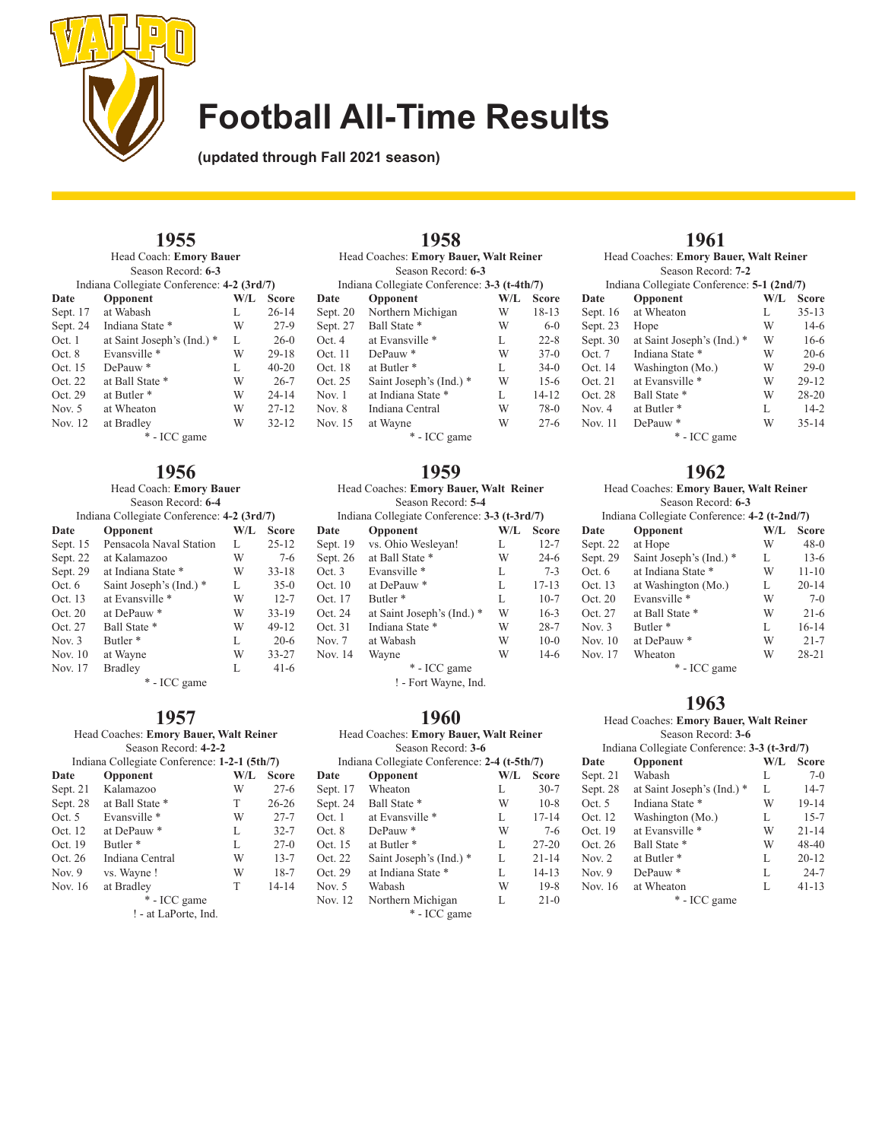

**(updated through Fall 2021 season)**

# **1955**

Head Coach: **Emory Bauer** Season Record: **6-3**

| Indiana Collegiate Conference: 4-2 (3rd/7) |                            |     |           |
|--------------------------------------------|----------------------------|-----|-----------|
| Date                                       | Opponent                   | W/L | Score     |
| Sept. 17                                   | at Wabash                  | L   | $26 - 14$ |
| Sept. 24                                   | Indiana State *            | W   | $27-9$    |
| Oct.1                                      | at Saint Joseph's (Ind.) * | L   | $26-0$    |
| Oct.8                                      | Evansville *               | W   | $29 - 18$ |
| Oct. 15                                    | DePauw <sup>*</sup>        | L   | $40 - 20$ |
| Oct. 22                                    | at Ball State *            | W   | $26 - 7$  |
| Oct. 29                                    | at Butler <sup>*</sup>     | W   | $24 - 14$ |
| Nov. $5$                                   | at Wheaton                 | W   | $27 - 12$ |
| Nov. 12                                    | at Bradley                 | W   | $32 - 12$ |
| * - ICC game                               |                            |     |           |

## **1956**

| Head Coach: Emory Bauer |                                            |     |           |
|-------------------------|--------------------------------------------|-----|-----------|
|                         | Season Record: 6-4                         |     |           |
|                         | Indiana Collegiate Conference: 4-2 (3rd/7) |     |           |
| Date                    | Opponent                                   | W/L | Score     |
| Sept. 15                | Pensacola Naval Station                    | L   | $25 - 12$ |
| Sept. 22                | at Kalamazoo                               | W   | $7-6$     |
| Sept. 29                | at Indiana State *                         | W   | $33 - 18$ |
| Oct. 6                  | Saint Joseph's (Ind.) *                    | L   | $35-0$    |
| Oct. 13                 | at Evansville *                            | W   | $12 - 7$  |
| Oct. 20                 | at DePauw *                                | W   | $33 - 19$ |
| Oct. 27                 | Ball State *                               | W   | 49-12     |
| Nov. $3$                | Butler <sup>*</sup>                        | L   | $20-6$    |
| Nov. 10                 | at Wayne                                   | W   | $33 - 27$ |
| Nov. 17                 | <b>Bradley</b>                             | L   | $41-6$    |
| * - ICC game            |                                            |     |           |

### **1957**

#### Head Coaches: **Emory Bauer, Walt Reiner** Season Record: **4-2-2** Indiana Collegiate Conference: **1-2-1 (5th/7)**<br>Date Opponent W/L Sco **W/L Score**<br>**W** 27-6 Sept. 21 Kalamazoo W 27-6<br>Sept. 28 at Ball State \* T 26-26 Sept. 28 at Ball State \* T 26-26<br>Oct. 5 Evansville \* W 27-7 Oct. 5 Evansville \* W 27-7<br>Oct. 12 at DePauw \* L 32-7

| Oct. 12  | at DePauw*                                                                                                                                     | L | $32 - 7$  |
|----------|------------------------------------------------------------------------------------------------------------------------------------------------|---|-----------|
| Oct. 19  | Butler <sup>*</sup>                                                                                                                            | L | $27-0$    |
| Oct. 26  | Indiana Central                                                                                                                                | W | $13 - 7$  |
| Nov. $9$ | vs. Wayne!                                                                                                                                     | W | $18-7$    |
| Nov. 16  | at Bradley                                                                                                                                     | т | $14 - 14$ |
|          | * - ICC game                                                                                                                                   |   |           |
|          | $1 - 4$ $\overline{1}$ $\overline{1}$ $\overline{1}$ $\overline{1}$ $\overline{1}$ $\overline{1}$ $\overline{1}$ $\overline{1}$ $\overline{1}$ |   |           |

! - at LaPorte, Ind.

|          | 1958                                         |     |              |
|----------|----------------------------------------------|-----|--------------|
|          | Head Coaches: Emory Bauer, Walt Reiner       |     |              |
|          | Season Record: 6-3                           |     |              |
|          | Indiana Collegiate Conference: 3-3 (t-4th/7) |     |              |
| Date     | Opponent                                     | W/L | <b>Score</b> |
| Sept. 20 | Northern Michigan                            | W   | $18 - 13$    |
| Sept. 27 | Ball State *                                 | W   | $6 - 0$      |
| Oct. 4   | at Evansville *                              | L   | $22 - 8$     |
| Oct. 11  | DePauw <sup>*</sup>                          | W   | $37-0$       |
| Oct. 18  | at Butler <sup>*</sup>                       | L   | $34-0$       |
| Oct. 25  | Saint Joseph's (Ind.) *                      | W   | $15-6$       |
| Nov. 1   | at Indiana State *                           | L   | $14 - 12$    |
| Nov. 8   | Indiana Central                              | W   | $78-0$       |
| Nov. 15  | at Wayne                                     | W   | $27 - 6$     |
|          |                                              |     |              |

\* - ICC game

## **1959**

#### Head Coaches: **Emory Bauer, Walt Reiner** Season Record: **5-4**

|          | Indiana Collegiate Conference: 3-3 (t-3rd/7) |     |              |
|----------|----------------------------------------------|-----|--------------|
| Date     | Opponent                                     | W/L | <b>Score</b> |
| Sept. 19 | vs. Ohio Wesleyan!                           | L   | $12 - 7$     |
| Sept. 26 | at Ball State *                              | W   | $24-6$       |
| Oct. 3   | Evansville *                                 | L   | $7 - 3$      |
| Oct. 10  | at DePauw*                                   | L   | $17 - 13$    |
| Oct. 17  | Butler <sup>*</sup>                          | L   | $10-7$       |
| Oct. 24  | at Saint Joseph's (Ind.) *                   | W   | $16-3$       |
| Oct. 31  | Indiana State *                              | W   | $28 - 7$     |
| Nov. 7   | at Wabash                                    | W   | $10-0$       |
| Nov. 14  | Wayne                                        | W   | $14-6$       |
|          | * - ICC game                                 |     |              |
|          | ! - Fort Wayne, Ind.                         |     |              |

### **1960**

| Opponent               | $W/I$ . | <b>Score</b>                                                                                                 |
|------------------------|---------|--------------------------------------------------------------------------------------------------------------|
| Sept. 17 Wheaton       | L       | $30-7$                                                                                                       |
| Ball State *           | W       | $10-8$                                                                                                       |
| at Evansville *        | L       | $17 - 14$                                                                                                    |
| DePauw*                | W       | $7 - 6$                                                                                                      |
| at Butler <sup>*</sup> | L       | $27 - 20$                                                                                                    |
|                        |         | Head Coaches: Emory Bauer, Walt Reiner<br>Season Record: 3-6<br>Indiana Collegiate Conference: 2-4 (t-5th/7) |

| Oct. 8   | DePauw <sup>*</sup>     | W | 7-6       |
|----------|-------------------------|---|-----------|
| Oct. 15  | at Butler <sup>*</sup>  | L | $27 - 20$ |
| Oct. 22  | Saint Joseph's (Ind.) * | L | $21 - 14$ |
| Oct. 29  | at Indiana State *      | L | $14 - 13$ |
| Nov. $5$ | Wabash                  | W | $19-8$    |
| Nov. 12  | Northern Michigan       | L | $21-0$    |

\* - ICC game

# **1961**

|          | Head Coaches: Emory Bauer, Walt Reiner     |     |              |
|----------|--------------------------------------------|-----|--------------|
|          | Season Record: 7-2                         |     |              |
|          | Indiana Collegiate Conference: 5-1 (2nd/7) |     |              |
| Date     | Opponent                                   | W/L | <b>Score</b> |
| Sept. 16 | at Wheaton                                 | L   | $35 - 13$    |
| Sept. 23 | Hope                                       | W   | $14-6$       |
| Sept. 30 | at Saint Joseph's (Ind.) *                 | W   | $16-6$       |
| Oct. 7   | Indiana State *                            | W   | $20-6$       |
| Oct. 14  | Washington (Mo.)                           | W   | $29-0$       |
| Oct. 21  | at Evansville *                            | W   | $29 - 12$    |
| Oct. 28  | Ball State *                               | W   | $28 - 20$    |
| Nov. 4   | at Butler <sup>*</sup>                     | L   | $14 - 2$     |
| Nov. 11  | DePauw <sup>*</sup>                        | W   | $35 - 14$    |
|          |                                            |     |              |

\* - ICC game

### **1962**

#### Head Coaches: **Emory Bauer, Walt Reiner** Season Record: **6-3**

|          | осамл весова о-э                             |     |              |
|----------|----------------------------------------------|-----|--------------|
|          | Indiana Collegiate Conference: 4-2 (t-2nd/7) |     |              |
| Date     | Opponent                                     | W/L | <b>Score</b> |
| Sept. 22 | at Hope                                      | W   | $48-0$       |
| Sept. 29 | Saint Joseph's (Ind.) *                      | L   | $13-6$       |
| Oct.6    | at Indiana State *                           | W   | $11 - 10$    |
| Oct. 13  | at Washington (Mo.)                          | L   | $20 - 14$    |
| Oct. 20  | Evansville *                                 | W   | $7-0$        |
| Oct. 27  | at Ball State *                              | W   | $21 - 6$     |
| Nov. $3$ | Butler <sup>*</sup>                          | L   | $16 - 14$    |
| Nov. 10  | at DePauw*                                   | W   | $21 - 7$     |
| Nov. 17  | Wheaton                                      | W   | $28 - 21$    |
|          | $\mathbf{a}$ $\mathbf{v}$ $\mathbf{v}$       |     |              |

\* - ICC game

## **1963**

#### Head Coaches: **Emory Bauer, Walt Reiner** Season Record: **3-6**

| Season Record: 3-6         |     |                                              |
|----------------------------|-----|----------------------------------------------|
|                            |     |                                              |
| Opponent                   | W/L | <b>Score</b>                                 |
| Wabash                     | L   | $7-0$                                        |
| at Saint Joseph's (Ind.) * | L   | $14 - 7$                                     |
| Indiana State *            | W   | 19-14                                        |
| Washington (Mo.)           | L   | $15 - 7$                                     |
| at Evansville *            | W   | $21 - 14$                                    |
| Ball State *               | W   | 48-40                                        |
| at Butler <sup>*</sup>     | L   | $20 - 12$                                    |
| DePauw <sup>*</sup>        | L   | $24 - 7$                                     |
| at Wheaton                 | L   | $41 - 13$                                    |
| * - ICC game               |     |                                              |
|                            |     | Indiana Collegiate Conference: 3-3 (t-3rd/7) |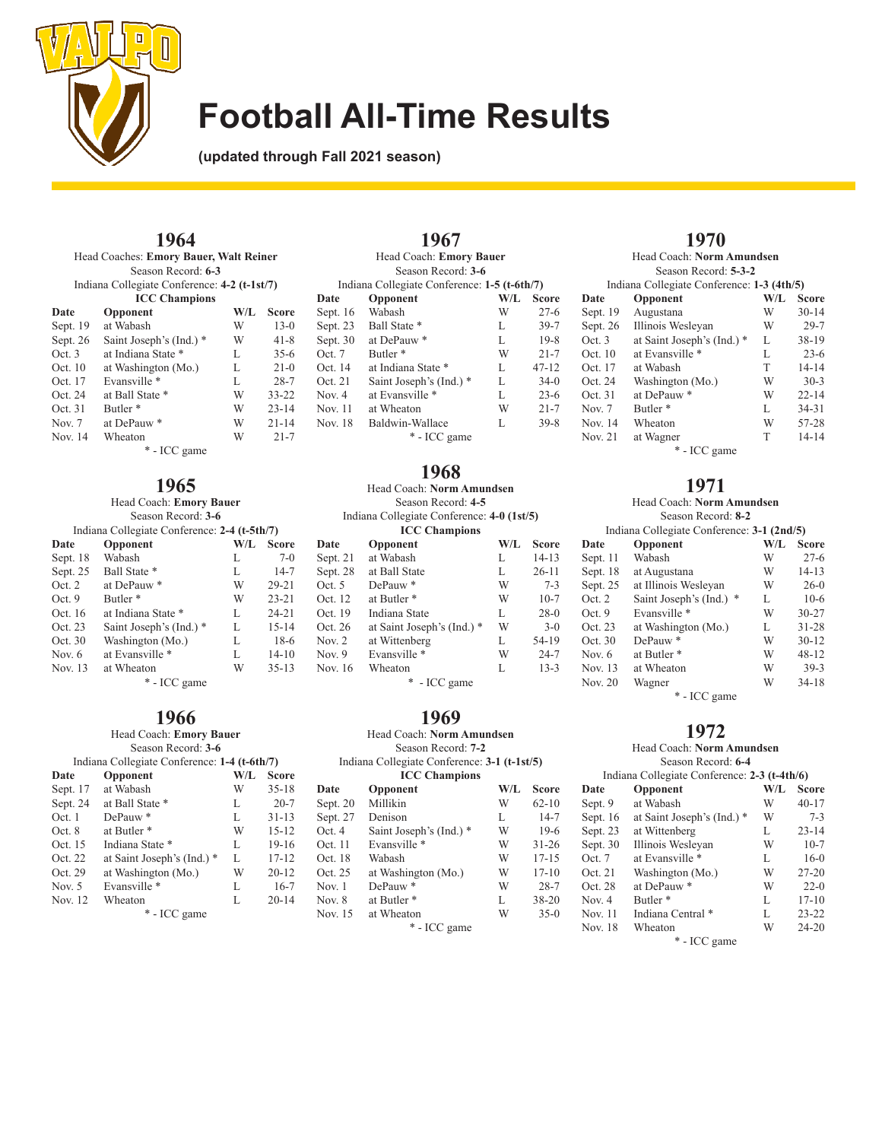

**(updated through Fall 2021 season)**

## **1964**

| Head Coaches: Emory Bauer, Walt Reiner |                                              |     |           |
|----------------------------------------|----------------------------------------------|-----|-----------|
|                                        | Season Record: 6-3                           |     |           |
|                                        | Indiana Collegiate Conference: 4-2 (t-1st/7) |     |           |
|                                        | <b>ICC Champions</b>                         |     |           |
| Date                                   | Opponent                                     | W/L | Score     |
| Sept. 19                               | at Wabash                                    | W   | $13-0$    |
| Sept. 26                               | Saint Joseph's (Ind.) *                      | W   | $41 - 8$  |
| Oct.3                                  | at Indiana State *                           | L   | $35-6$    |
| Oct. 10                                | at Washington (Mo.)                          | L   | $21-0$    |
| Oct. 17                                | Evansville *                                 | L   | $28 - 7$  |
| Oct. 24                                | at Ball State *                              | W   | $33 - 22$ |
| Oct. 31                                | Butler <sup>*</sup>                          | W   | $23 - 14$ |
| Nov. 7                                 | at DePauw <sup>*</sup>                       | W   | $21 - 14$ |
| Nov. 14                                | Wheaton                                      | W   | $21 - 7$  |
| * - ICC game                           |                                              |     |           |

# **1965**

| Head Coach: Emory Bauer |                                              |   |           |  |  |  |
|-------------------------|----------------------------------------------|---|-----------|--|--|--|
|                         | Season Record: 3-6                           |   |           |  |  |  |
|                         | Indiana Collegiate Conference: 2-4 (t-5th/7) |   |           |  |  |  |
| Date                    | W/L<br><b>Score</b><br>Opponent              |   |           |  |  |  |
| Sept. 18                | Wabash                                       | L | $7-0$     |  |  |  |
| Sept. 25                | Ball State *                                 | L | $14 - 7$  |  |  |  |
| Oct. 2                  | at DePauw <sup>*</sup>                       | W | $29 - 21$ |  |  |  |
| Oct.9                   | Butler <sup>*</sup>                          | W | $23 - 21$ |  |  |  |
| Oct. 16                 | at Indiana State *                           | L | $24 - 21$ |  |  |  |
| Oct. 23                 | Saint Joseph's (Ind.) *                      | L | $15 - 14$ |  |  |  |
| Oct. 30                 | Washington (Mo.)                             | L | $18-6$    |  |  |  |
| Nov. 6                  | at Evansville *                              | L | $14 - 10$ |  |  |  |
| Nov. 13                 | at Wheaton                                   | W | $35 - 13$ |  |  |  |
|                         | * - ICC game                                 |   |           |  |  |  |

# **1966**

| Head Coach: Emory Bauer |                                              |     |              |
|-------------------------|----------------------------------------------|-----|--------------|
|                         | Season Record: 3-6                           |     |              |
|                         | Indiana Collegiate Conference: 1-4 (t-6th/7) |     |              |
| Date                    | Opponent                                     | W/L | <b>Score</b> |
| Sept. 17                | at Wabash                                    | W   | $35 - 18$    |
| Sept. 24                | at Ball State *                              | L   | $20 - 7$     |
| Oct.1                   | DePauw <sup>*</sup>                          | L   | $31 - 13$    |
| Oct. 8                  | at Butler *                                  | W   | $15 - 12$    |
| Oct. 15                 | Indiana State *                              | L   | $19 - 16$    |
| Oct. 22                 | at Saint Joseph's (Ind.) *                   | L   | $17 - 12$    |
| Oct. 29                 | at Washington (Mo.)                          | W   | $20 - 12$    |
| Nov. $5$                | Evansville *                                 | L   | $16-7$       |
| Nov. 12                 | Wheaton                                      | L   | $20 - 14$    |
| * - ICC game            |                                              |     |              |

|          | 1967                                         |     |              |
|----------|----------------------------------------------|-----|--------------|
|          | Head Coach: Emory Bauer                      |     |              |
|          | Season Record: 3-6                           |     |              |
|          | Indiana Collegiate Conference: 1-5 (t-6th/7) |     |              |
| Date     | Opponent                                     | W/L | <b>Score</b> |
| Sept. 16 | Wabash                                       | W   | $27-6$       |
|          | Sept. 23 Ball State *                        | L   | $39 - 7$     |
| Sept. 30 | at DePauw*                                   | L   | $19-8$       |
| Oct. 7   | Butler <sup>*</sup>                          | W   | $21 - 7$     |
| Oct. 14  | at Indiana State *                           | L   | $47 - 12$    |
| Oct. 21  | Saint Joseph's (Ind.) *                      | L   | $34-0$       |
| Nov. 4   | at Evansville *                              | L   | $23-6$       |
| Nov. 11  | at Wheaton                                   | W   | $21 - 7$     |
| Nov. 18  | Baldwin-Wallace                              | L   | $39 - 8$     |
|          | * - ICC game                                 |     |              |

### **1968**

| Head Coach: Norm Amundsen |                                            |     |              |
|---------------------------|--------------------------------------------|-----|--------------|
|                           | Season Record: 4-5                         |     |              |
|                           | Indiana Collegiate Conference: 4-0 (1st/5) |     |              |
|                           | <b>ICC Champions</b>                       |     |              |
| Date                      | Opponent                                   | W/L | <b>Score</b> |
| Sept. 21                  | at Wabash                                  | L   | $14 - 13$    |
| Sept. 28                  | at Ball State                              | L   | $26 - 11$    |
| Oct. $5$                  | DePauw*                                    | W   | $7 - 3$      |
| Oct. 12                   | at Butler <sup>*</sup>                     | W   | $10-7$       |
| Oct. 19                   | Indiana State                              | L   | $28-0$       |
| Oct. 26                   | at Saint Joseph's (Ind.) *                 | W   | $3-0$        |
| Nov. 2                    | at Wittenberg                              | L   | 54-19        |
| Nov. 9                    | Evansville *                               | W   | $24 - 7$     |
| Nov. 16                   | Wheaton                                    | L   | $13 - 3$     |
|                           | * - ICC game                               |     |              |

**1969** Head Coach: **Norm Amundsen** Season Record: **7-2** Indiana Collegiate Conference: **3-1 (t-1st/5) ICC Champions Date Opponent W/L Score**<br>Sept. 20 Millikin **W** 62-10

Sept. 27 Denison L 14-7<br>Oct. 4 Saint Joseph's (Ind.) \* W 19-6 Oct. 4 Saint Joseph's (Ind.) \* W 19-6<br>Oct. 11 Evansville \* W 31-26

Oct. 18 Wabash W 17-15<br>Oct. 25 at Washington (Mo.) W 17-10 Oct. 25 at Washington (Mo.) W 17-10<br>Nov. 1 DePauw \* W 28-7

Nov. 8 at Butler \* L 38-20<br>Nov. 15 at Wheaton W 35-0

\* - ICC game

Evansville \* W 31-26<br>Wabash W 17-15

Sept. 20 Millikin

DePauw  $*$ 

Nov. 15 at Wheaton

#### **1970** Head Coach: **Norm Amundsen**

|          | Season Record: 5-3-2                       |         |           |  |
|----------|--------------------------------------------|---------|-----------|--|
|          | Indiana Collegiate Conference: 1-3 (4th/5) |         |           |  |
| Date     | Opponent                                   | $W/I$ . | Score     |  |
| Sept. 19 | Augustana                                  | W       | $30 - 14$ |  |
| Sept. 26 | Illinois Wesleyan                          | W       | $29 - 7$  |  |
| Oct.3    | at Saint Joseph's (Ind.) *                 | L       | $38-19$   |  |
| Oct. 10  | at Evansville *                            | L       | $23 - 6$  |  |
| Oct. 17  | at Wabash                                  | T       | $14 - 14$ |  |
| Oct. 24  | Washington (Mo.)                           | W       | $30-3$    |  |
| Oct. 31  | at DePauw*                                 | W       | $22 - 14$ |  |
| Nov. $7$ | Butler <sup>*</sup>                        | L       | $34 - 31$ |  |
| Nov. 14  | Wheaton                                    | W       | 57-28     |  |
| Nov. 21  | at Wagner                                  | T       | $14 - 14$ |  |
|          | * - ICC game                               |         |           |  |

### **1971**

|          | Head Coach: Norm Amundsen                  |     |              |  |
|----------|--------------------------------------------|-----|--------------|--|
|          | Season Record: 8-2                         |     |              |  |
|          | Indiana Collegiate Conference: 3-1 (2nd/5) |     |              |  |
| Date     | Opponent                                   | W/L | <b>Score</b> |  |
| Sept. 11 | Wabash                                     | W   | $27 - 6$     |  |
| Sept. 18 | at Augustana                               | W   | 14-13        |  |
| Sept. 25 | at Illinois Wesleyan                       | W   | $26-0$       |  |
| Oct. $2$ | *<br>Saint Joseph's (Ind.)                 | L   | $10-6$       |  |
| Oct. 9   | Evansville *                               | W   | $30 - 27$    |  |
| Oct. 23  | at Washington (Mo.)                        | L   | $31 - 28$    |  |
| Oct. 30  | DePauw*                                    | W   | $30 - 12$    |  |
| Nov. 6   | at Butler <sup>*</sup>                     | W   | $48 - 12$    |  |
| Nov. 13  | at Wheaton                                 | W   | $39-3$       |  |
| Nov. 20  | Wagner                                     | W   | $34 - 18$    |  |
|          |                                            |     |              |  |

\* - ICC game

### **1972**

Head Coach: **Norm Amundsen**

|            | Season Record: 6-4                           |     |              |  |
|------------|----------------------------------------------|-----|--------------|--|
|            | Indiana Collegiate Conference: 2-3 (t-4th/6) |     |              |  |
| Date       | Opponent                                     | W/L | <b>Score</b> |  |
| Sept. 9    | at Wabash                                    | W   | $40 - 17$    |  |
| Sept. $16$ | at Saint Joseph's (Ind.) *                   | W   | $7 - 3$      |  |
| Sept. 23   | at Wittenberg                                | L   | $23 - 14$    |  |
| Sept. 30   | Illinois Wesleyan                            | W   | $10-7$       |  |
| Oct. 7     | at Evansville *                              | L   | $16-0$       |  |
| Oct. 21    | Washington (Mo.)                             | W   | $27 - 20$    |  |
| Oct. 28    | at DePauw*                                   | W   | $22 - 0$     |  |
| Nov. $4$   | Butler <sup>*</sup>                          | L   | $17 - 10$    |  |
| Nov. 11    | Indiana Central *                            | L   | $23 - 22$    |  |
| Nov. 18    | Wheaton                                      | W   | $24 - 20$    |  |

\* - ICC game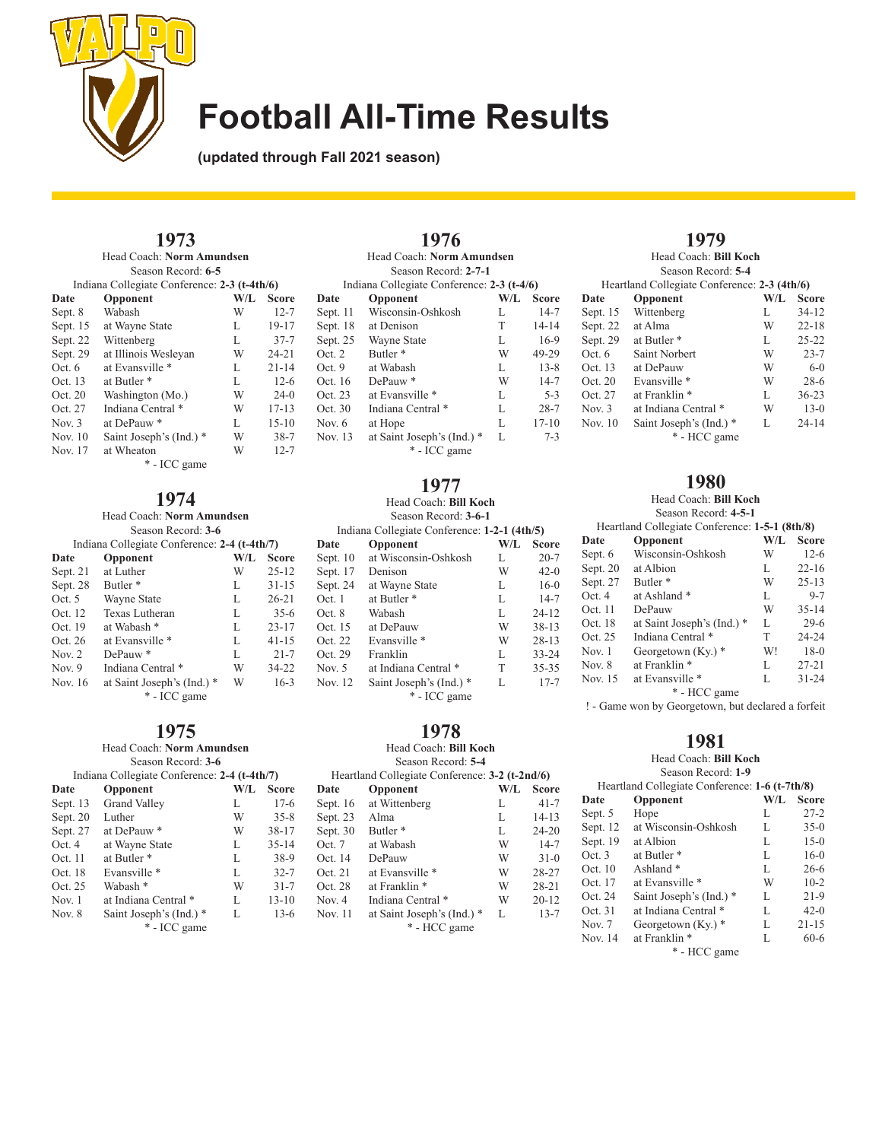

**(updated through Fall 2021 season)**

# **1973**

Head Coach: **Norm Amundsen** Season Record: **6-5**

| Indiana Collegiate Conference: 2-3 (t-4th/6) |                         |     |              |
|----------------------------------------------|-------------------------|-----|--------------|
| Date                                         | Opponent                | W/L | <b>Score</b> |
| Sept. 8                                      | Wabash                  | W   | $12 - 7$     |
| Sept. 15                                     | at Wayne State          | L   | 19-17        |
| Sept. 22                                     | Wittenberg              | L   | $37 - 7$     |
| Sept. 29                                     | at Illinois Wesleyan    | W   | $24 - 21$    |
| Oct. $6$                                     | at Evansville *         | L   | $21 - 14$    |
| Oct. 13                                      | at Butler <sup>*</sup>  | L   | $12-6$       |
| Oct. 20                                      | Washington (Mo.)        | W   | $24-0$       |
| Oct. 27                                      | Indiana Central *       | W   | $17 - 13$    |
| Nov. $3$                                     | at DePauw <sup>*</sup>  | L   | $15 - 10$    |
| Nov. 10                                      | Saint Joseph's (Ind.) * | W   | $38 - 7$     |
| Nov. 17                                      | at Wheaton              | W   | $12 - 7$     |
| * - ICC game                                 |                         |     |              |

### **1974**

Head Coach: **Norm Amundsen**

| Season Record: 3-6 |                                              |     |              |
|--------------------|----------------------------------------------|-----|--------------|
|                    | Indiana Collegiate Conference: 2-4 (t-4th/7) |     |              |
| Date               | Opponent                                     | W/L | <b>Score</b> |
| Sept. 21           | at Luther                                    | W   | $25 - 12$    |
| Sept. 28           | Butler <sup>*</sup>                          | L   | $31 - 15$    |
| Oct. 5             | Wayne State                                  | L   | $26 - 21$    |
| Oct. 12            | Texas Lutheran                               | L   | $35-6$       |
| Oct. 19            | at Wabash *                                  | L   | $23 - 17$    |
| Oct. 26            | at Evansville *                              | L   | $41 - 15$    |
| Nov. $2$           | $DePauw*$                                    | L   | $21 - 7$     |
| Nov. $9$           | Indiana Central *                            | W   | $34 - 22$    |
| Nov. 16            | at Saint Joseph's (Ind.) *                   | W   | $16-3$       |
|                    | * - ICC game                                 |     |              |

### **1975**

#### Head Coach: **Norm Amundsen**

|          | Season Record: 3-6                           |     |              |  |
|----------|----------------------------------------------|-----|--------------|--|
|          | Indiana Collegiate Conference: 2-4 (t-4th/7) |     |              |  |
| Date     | Opponent                                     | W/L | <b>Score</b> |  |
| Sept. 13 | Grand Valley                                 | L   | $17-6$       |  |
| Sept. 20 | Luther                                       | W   | $35 - 8$     |  |
| Sept. 27 | at DePauw*                                   | W   | $38 - 17$    |  |
| Oct.4    | at Wayne State                               | L   | $35 - 14$    |  |
| Oct. 11  | at Butler <sup>*</sup>                       | L   | $38-9$       |  |
| Oct. 18  | Evansville *                                 | L   | $32 - 7$     |  |
| Oct. 25  | Wabash *                                     | W   | $31 - 7$     |  |
| Nov. $1$ | at Indiana Central *                         | L   | $13 - 10$    |  |
| Nov. 8   | Saint Joseph's (Ind.) *                      | L   | $13-6$       |  |
|          | * - ICC game                                 |     |              |  |

#### **1976** Head Coach: **Norm Amundsen** Season Record: **2-7-1** Indiana Collegiate Conference: **2-3 (t-4/6)**<br>Date Opponent W/L Se **Opponent**<br>Wisconsin-Oshkosh L 14-7 Sept. 11 Wisconsin-Oshkosh L 14-7<br>Sept. 18 at Denison T 14-14 Sept. 18 at Denison T 14-14<br>Sept. 25 Wayne State L 16-9 Wayne State L Oct. 2 Butler \* W 49-29 Oct. 9 at Wabash L 13-8<br>Oct. 16 DePauw \* W 14-7 Oct. 16 DePauw \* W 14-7<br>Oct. 23 at Evansville \* L 5-3 at Evansville \* L 5-3<br>Indiana Central \* L 28-7 Oct. 30 Indiana Central \* L 28-7<br>Nov. 6 at Hope L 17-10 Nov. 6 at Hope L Nov. 13 at Saint Joseph's (Ind.) \* L 7-3

\* - ICC game

### **1977**

#### Head Coach: **Bill Koch** Season Record: **3-6-1**

| Indiana Collegiate Conference: 1-2-1 (4th/5) |                         |     |              |
|----------------------------------------------|-------------------------|-----|--------------|
| Date                                         | Opponent                | W/L | <b>Score</b> |
| Sept. $10$                                   | at Wisconsin-Oshkosh    | L   | $20 - 7$     |
| Sept. 17                                     | Denison                 | W   | $42-0$       |
| Sept. 24                                     | at Wayne State          | L   | $16-0$       |
| Oct. 1                                       | at Butler <sup>*</sup>  | L   | $14 - 7$     |
| Oct. 8                                       | Wabash                  | L   | $24 - 12$    |
| Oct. 15                                      | at DePauw               | W   | $38 - 13$    |
| Oct. 22                                      | Evansville *            | W   | $28 - 13$    |
| Oct. 29                                      | Franklin                | L   | $33 - 24$    |
| Nov. 5                                       | at Indiana Central *    | T   | $35 - 35$    |
| Nov. 12                                      | Saint Joseph's (Ind.) * | L   | $17 - 7$     |
|                                              | * - ICC game            |     |              |

# **1978**

Head Coach: **Bill Koch**

| Season Record: 5-4                             |     |              |  |
|------------------------------------------------|-----|--------------|--|
| Heartland Collegiate Conference: 3-2 (t-2nd/6) |     |              |  |
| Opponent                                       | W/L | <b>Score</b> |  |
| at Wittenberg                                  | L   | $41 - 7$     |  |
| Alma                                           | L   | $14 - 13$    |  |
| Butler <sup>*</sup>                            | L   | $24 - 20$    |  |
| at Wabash                                      | W   | $14 - 7$     |  |
| DePauw                                         | W   | $31-0$       |  |
| at Evansville *                                | W   | 28-27        |  |
| at Franklin <sup>*</sup>                       | W   | $28 - 21$    |  |
| Indiana Central *                              | W   | $20 - 12$    |  |
| at Saint Joseph's (Ind.) *<br>* - HCC game     | L   | $13 - 7$     |  |
|                                                |     |              |  |

## **1979** Head Coach: **Bill Koch**

|          | Season Record: 5-4                           |     |              |  |
|----------|----------------------------------------------|-----|--------------|--|
|          | Heartland Collegiate Conference: 2-3 (4th/6) |     |              |  |
| Date     | Opponent                                     | W/L | <b>Score</b> |  |
| Sept. 15 | Wittenberg                                   | L   | $34 - 12$    |  |
| Sept. 22 | at Alma                                      | W   | $22 - 18$    |  |
| Sept. 29 | at Butler <sup>*</sup>                       | L   | $25 - 22$    |  |
| Oct.6    | Saint Norbert                                | W   | $23 - 7$     |  |
| Oct. 13  | at DePauw                                    | W   | $6-0$        |  |
| Oct. 20  | Evansville *                                 | W   | $28-6$       |  |
| Oct. 27  | at Franklin *                                | L   | $36 - 23$    |  |
| Nov. $3$ | at Indiana Central *                         | W   | $13-0$       |  |
| Nov. 10  | Saint Joseph's (Ind.) *                      | L   | $24 - 14$    |  |
|          | * - HCC game                                 |     |              |  |

### **1980**

Head Coach: **Bill Koch** Season Record: **4-5-1**

| Heartland Collegiate Conference: 1-5-1 (8th/8) |                            |     |              |
|------------------------------------------------|----------------------------|-----|--------------|
| Date                                           | Opponent                   | W/L | <b>Score</b> |
| Sept. 6                                        | Wisconsin-Oshkosh          | W   | $12-6$       |
| Sept. 20                                       | at Albion                  | L   | $22 - 16$    |
| Sept. 27                                       | Butler <sup>*</sup>        | W   | $25 - 13$    |
| Oct.4                                          | at Ashland *               | L   | $9 - 7$      |
| Oct.11                                         | DePauw                     | W   | $35 - 14$    |
| Oct. 18                                        | at Saint Joseph's (Ind.) * | L   | $29-6$       |
| Oct. 25                                        | Indiana Central *          | T   | 24-24        |
| Nov. 1                                         | Georgetown $(Ky)$ *        | W!  | $18-0$       |
| Nov. $8$                                       | at Franklin *              | L   | $27 - 21$    |
| Nov. 15                                        | at Evansville *            | L   | $31 - 24$    |
| * - HCC game                                   |                            |     |              |

! - Game won by Georgetown, but declared a forfeit

### **1981**

Head Coach: **Bill Koch**

|                                                | Season Record: 1-9      |     |              |
|------------------------------------------------|-------------------------|-----|--------------|
| Heartland Collegiate Conference: 1-6 (t-7th/8) |                         |     |              |
| Date                                           | Opponent                | W/L | <b>Score</b> |
| Sept. 5                                        | Hope                    | L   | $27 - 2$     |
| Sept. 12                                       | at Wisconsin-Oshkosh    | L   | $35-0$       |
| Sept. 19                                       | at Albion               | L   | $15-0$       |
| Oct. 3                                         | at Butler <sup>*</sup>  | L   | $16-0$       |
| Oct. 10                                        | Ashland $*$             | L   | $26 - 6$     |
| Oct. 17                                        | at Evansville *         | W   | $10-2$       |
| Oct. 24                                        | Saint Joseph's (Ind.) * | L   | $21-9$       |
| Oct. 31                                        | at Indiana Central *    | L   | $42-0$       |
| Nov. $7$                                       | Georgetown $(Ky)$ *     | L   | $21 - 15$    |
| Nov. 14                                        | at Franklin *           | L   | $60 - 6$     |

\* - HCC game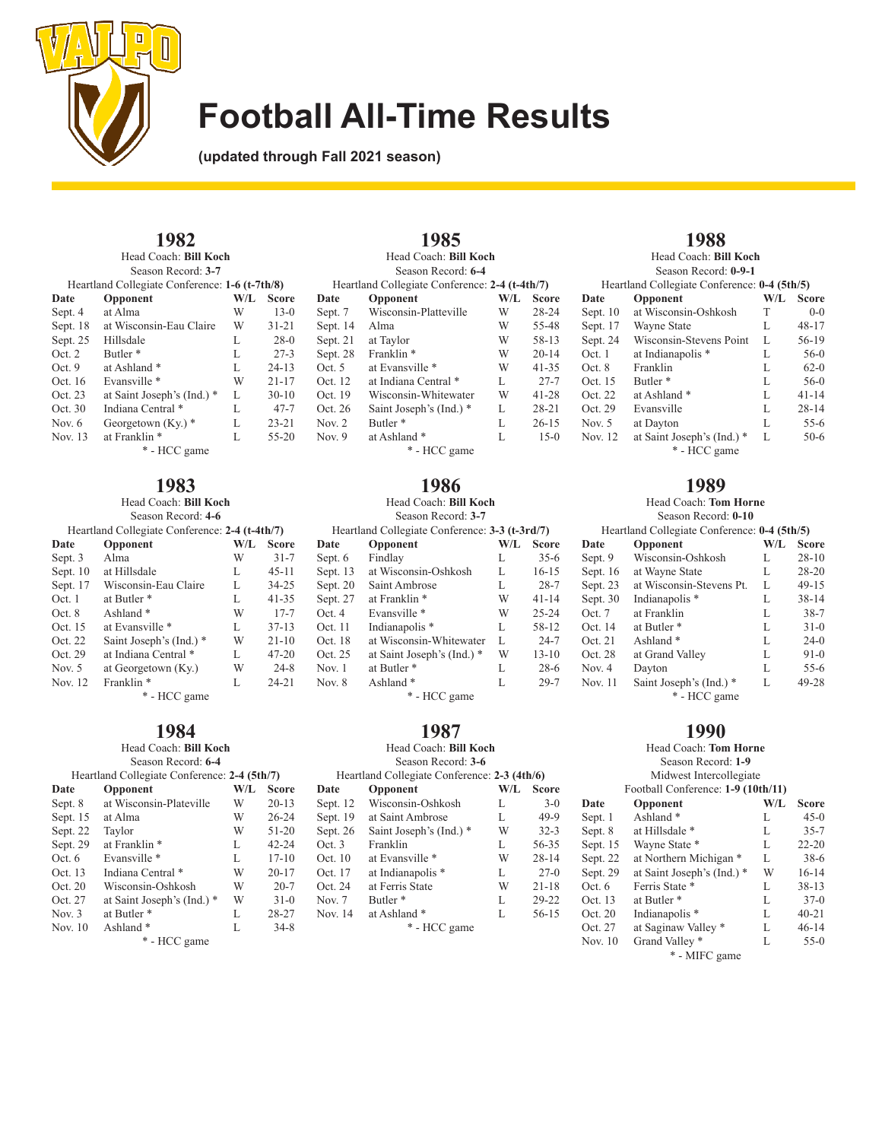

**(updated through Fall 2021 season)**

# **1982**

Head Coach: **Bill Koch** Season Record: **3-7**

| Heartland Collegiate Conference: 1-6 (t-7th/8) |                            |     |              |  |
|------------------------------------------------|----------------------------|-----|--------------|--|
| Date                                           | Opponent                   | W/L | <b>Score</b> |  |
| Sept. 4                                        | at Alma                    | W   | $13-0$       |  |
| Sept. 18                                       | at Wisconsin-Eau Claire    | W   | $31 - 21$    |  |
| Sept. 25                                       | Hillsdale                  | L   | $28-0$       |  |
| Oct.2                                          | Butler <sup>*</sup>        | L   | $27 - 3$     |  |
| Oct.9                                          | at Ashland <sup>*</sup>    | L   | $24 - 13$    |  |
| Oct. 16                                        | Evansville *               | W   | $21 - 17$    |  |
| Oct. 23                                        | at Saint Joseph's (Ind.) * | L   | $30-10$      |  |
| Oct. 30                                        | Indiana Central *          | L   | $47 - 7$     |  |
| Nov. 6                                         | Georgetown $(Ky)$ *        | L   | $23 - 21$    |  |
| Nov. 13                                        | at Franklin *              | L   | $55 - 20$    |  |
| * - HCC game                                   |                            |     |              |  |

# **1983**

Head Coach: **Bill Koch** Season Record: **4-6**

| Heartland Collegiate Conference: 2-4 (t-4th/7) |                         |     |              |
|------------------------------------------------|-------------------------|-----|--------------|
| Date                                           | Opponent                | W/L | <b>Score</b> |
| Sept. 3                                        | Alma                    | W   | $31 - 7$     |
| Sept. $10$                                     | at Hillsdale            | L   | $45 - 11$    |
| Sept. 17                                       | Wisconsin-Eau Claire    | L   | $34 - 25$    |
| Oct.1                                          | at Butler <sup>*</sup>  | L   | $41 - 35$    |
| Oct.8                                          | Ashland $*$             | W   | $17 - 7$     |
| Oct. 15                                        | at Evansville *         | L   | $37 - 13$    |
| Oct. 22                                        | Saint Joseph's (Ind.) * | W   | $21 - 10$    |
| Oct. 29                                        | at Indiana Central *    | L   | $47 - 20$    |
| Nov. $5$                                       | at Georgetown (Ky.)     | W   | $24 - 8$     |
| Nov. 12                                        | Franklin <sup>*</sup>   | L   | $24 - 21$    |
| * - HCC game                                   |                         |     |              |

## **1984**

#### Head Coach: **Bill Koch** Season Record: **6-4**

| Heartland Collegiate Conference: 2-4 (5th/7) |                            |     |              |
|----------------------------------------------|----------------------------|-----|--------------|
| Date                                         | Opponent                   | W/L | <b>Score</b> |
| Sept. 8                                      | at Wisconsin-Plateville    | W   | $20 - 13$    |
| Sept. 15                                     | at Alma                    | W   | $26 - 24$    |
| Sept. 22                                     | Taylor                     | W   | $51 - 20$    |
| Sept. 29                                     | at Franklin <sup>*</sup>   | L   | $42 - 24$    |
| Oct. $6$                                     | Evansville *               | L   | $17 - 10$    |
| Oct. 13                                      | Indiana Central *          | W   | $20 - 17$    |
| Oct. 20                                      | Wisconsin-Oshkosh          | W   | $20 - 7$     |
| Oct. 27                                      | at Saint Joseph's (Ind.) * | W   | $31-0$       |
| Nov. $3$                                     | at Butler <sup>*</sup>     | L   | 28-27        |
| Nov. 10                                      | Ashland <sup>*</sup>       | L   | $34 - 8$     |
|                                              |                            |     |              |

\* - HCC game

|          | 1985                                           |     |              |
|----------|------------------------------------------------|-----|--------------|
|          | Head Coach: Bill Koch                          |     |              |
|          | Season Record: 6-4                             |     |              |
|          | Heartland Collegiate Conference: 2-4 (t-4th/7) |     |              |
| Date     | Opponent                                       | W/L | <b>Score</b> |
| Sept. 7  | Wisconsin-Platteville                          | W   | $28 - 24$    |
| Sept. 14 | Alma                                           | W   | 55-48        |
| Sept. 21 | at Taylor                                      | W   | 58-13        |
| Sept. 28 | Franklin <sup>*</sup>                          | W   | $20 - 14$    |
| Oct. $5$ | at Evansville *                                | W   | $41 - 35$    |
| Oct. 12  | at Indiana Central *                           | L   | $27 - 7$     |
| Oct. 19  | Wisconsin-Whitewater                           | W   | $41 - 28$    |
| Oct. 26  | Saint Joseph's (Ind.) *                        | L   | $28 - 21$    |
| Nov. 2   | Butler <sup>*</sup>                            | L   | $26 - 15$    |
| Nov. 9   | at Ashland *                                   | L   | $15-0$       |
|          |                                                |     |              |

\* - HCC game

# **1986**

#### Head Coach: **Bill Koch** Season Record: **3-7**

| Season Record: 3-7                             |                            |     |              |  |
|------------------------------------------------|----------------------------|-----|--------------|--|
| Heartland Collegiate Conference: 3-3 (t-3rd/7) |                            |     |              |  |
| Date                                           | Opponent                   | W/L | <b>Score</b> |  |
| Sept. 6                                        | Findlay                    | L   | $35-6$       |  |
| Sept. 13                                       | at Wisconsin-Oshkosh       | L   | $16 - 15$    |  |
| Sept. 20                                       | Saint Ambrose              | L   | $28 - 7$     |  |
| Sept. 27                                       | at Franklin <sup>*</sup>   | W   | $41 - 14$    |  |
| Oct. 4                                         | Evansville *               | W   | $25 - 24$    |  |
| Oct. 11                                        | Indianapolis <sup>*</sup>  | L   | 58-12        |  |
| Oct. 18                                        | at Wisconsin-Whitewater    | L   | $24 - 7$     |  |
| Oct. 25                                        | at Saint Joseph's (Ind.) * | W   | $13 - 10$    |  |
| Nov. 1                                         | at Butler <sup>*</sup>     | L   | $28-6$       |  |
| Nov. 8                                         | Ashland <sup>*</sup>       | L   | $29 - 7$     |  |
|                                                |                            |     |              |  |

### \* - HCC game

## **1987**

### Head Coach: **Bill Koch**

|          | Season Record: 3-6                           |     |              |
|----------|----------------------------------------------|-----|--------------|
|          | Heartland Collegiate Conference: 2-3 (4th/6) |     |              |
| Date     | Opponent                                     | W/L | <b>Score</b> |
| Sept. 12 | Wisconsin-Oshkosh                            | L   | $3-0$        |
| Sept. 19 | at Saint Ambrose                             | L   | $49-9$       |
| Sept. 26 | Saint Joseph's (Ind.) *                      | W   | $32 - 3$     |
| Oct.3    | Franklin                                     | L   | 56-35        |
| Oct. 10  | at Evansville *                              | W   | $28 - 14$    |
| Oct. 17  | at Indianapolis <sup>*</sup>                 | L   | $27-0$       |
| Oct. 24  | at Ferris State                              | W   | $21 - 18$    |
| Nov. 7   | Butler <sup>*</sup>                          | L   | 29-22        |
| Nov. 14  | at Ashland *                                 | L   | $56 - 15$    |
|          | * - HCC game                                 |     |              |

## **1988**

| Head Coach: Bill Koch |
|-----------------------|
| Season Record: 0-9-1  |

| Heartland Collegiate Conference: 0-4 (5th/5) |                                            |     |              |
|----------------------------------------------|--------------------------------------------|-----|--------------|
| Date                                         | Opponent                                   | W/L | <b>Score</b> |
| Sept. $10$                                   | at Wisconsin-Oshkosh                       | Т   | $0-0$        |
| Sept. 17                                     | Wayne State                                | L   | $48 - 17$    |
| Sept. 24                                     | Wisconsin-Stevens Point                    | L   | 56-19        |
| Oct.1                                        | at Indianapolis *                          | L   | $56-0$       |
| Oct.8                                        | Franklin                                   | L   | $62-0$       |
| Oct. 15                                      | Butler <sup>*</sup>                        | L   | $56-0$       |
| Oct. 22                                      | at Ashland *                               | L   | $41 - 14$    |
| Oct. 29                                      | Evansville                                 | L   | $28 - 14$    |
| Nov. $5$                                     | at Dayton                                  | L   | $55-6$       |
| Nov. 12                                      | at Saint Joseph's (Ind.) *<br>* - HCC game | L   | $50-6$       |

### **1989**

Head Coach: **Tom Horne** Season Record: **0-10**

| Heartland Collegiate Conference: 0-4 (5th/5) |                           |     |              |
|----------------------------------------------|---------------------------|-----|--------------|
| Date                                         | Opponent                  | W/L | <b>Score</b> |
| Sept. 9                                      | Wisconsin-Oshkosh         | L   | $28 - 10$    |
| Sept. 16                                     | at Wayne State            | L   | $28 - 20$    |
| Sept. 23                                     | at Wisconsin-Stevens Pt.  | L   | $49 - 15$    |
| Sept. 30                                     | Indianapolis <sup>*</sup> | L   | $38 - 14$    |
| Oct. 7                                       | at Franklin               | L   | $38 - 7$     |
| Oct. 14                                      | at Butler <sup>*</sup>    | L   | $31-0$       |
| Oct. 21                                      | Ashland $*$               | L   | $24-0$       |
| Oct. 28                                      | at Grand Valley           | L   | $91-0$       |
| Nov. $4$                                     | Dayton                    | L   | $55-6$       |
| Nov. 11                                      | Saint Joseph's (Ind.) *   | L   | 49-28        |
|                                              | * - HCC game              |     |              |

## **1990**

|          | Head Coach: Tom Horne              |     |           |
|----------|------------------------------------|-----|-----------|
|          | Season Record: 1-9                 |     |           |
|          | Midwest Intercollegiate            |     |           |
|          | Football Conference: 1-9 (10th/11) |     |           |
| Date     | Opponent                           | W/L | Score     |
| Sept. 1  | Ashland <sup>*</sup>               | L   | $45-0$    |
| Sept. 8  | at Hillsdale *                     | L   | $35 - 7$  |
| Sept. 15 | Wayne State *                      | L   | $22 - 20$ |
| Sept. 22 | at Northern Michigan *             | L   | $38-6$    |
| Sept. 29 | at Saint Joseph's (Ind.) *         | W   | $16 - 14$ |
| Oct. 6   | Ferris State *                     | L   | $38 - 13$ |
| Oct. 13  | at Butler <sup>*</sup>             | L   | $37-0$    |
| Oct. 20  | Indianapolis <sup>*</sup>          | L   | $40 - 21$ |
| Oct. 27  | at Saginaw Valley *                | L   | $46 - 14$ |
| Nov. 10  | Grand Valley *                     | L   | $55-0$    |
|          | $+$ $\sqrt{11}$ $\sqrt{11}$        |     |           |

\* - MIFC game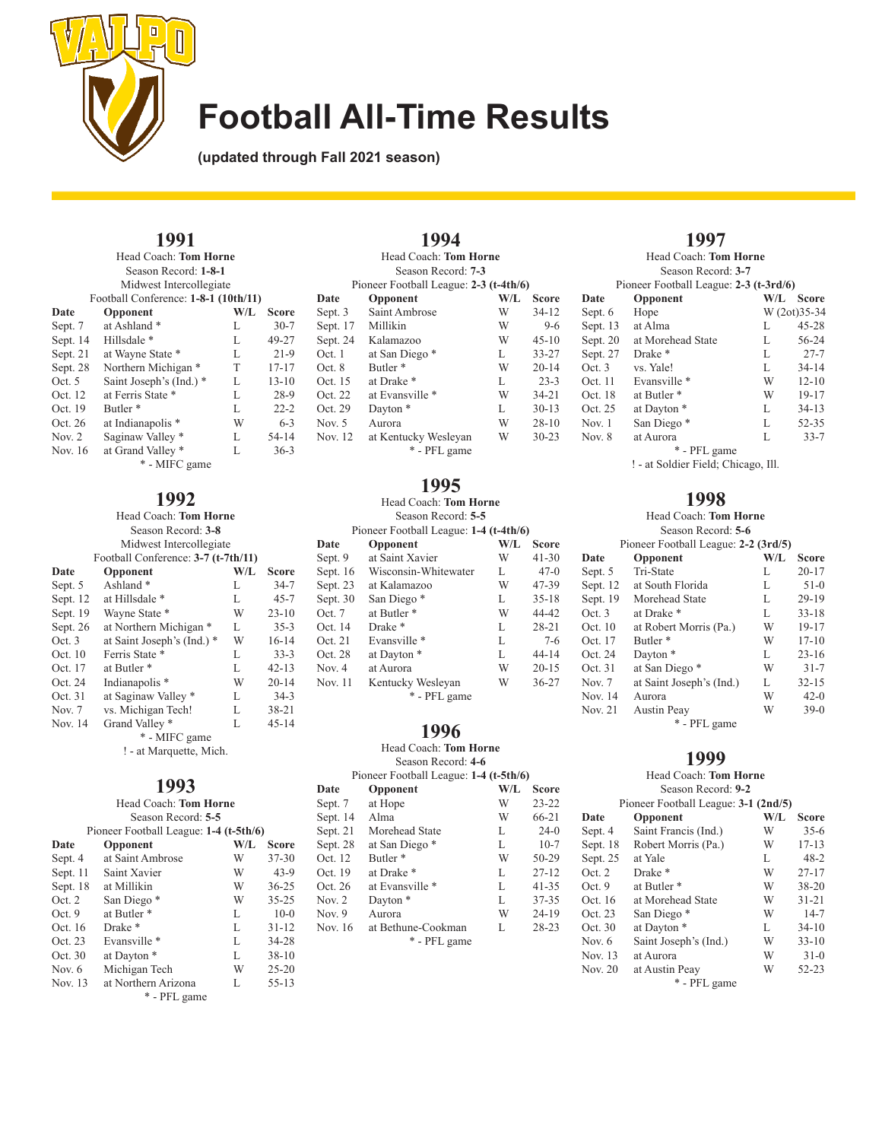

**(updated through Fall 2021 season)**

### **1991**

| Head Coach: Tom Horne<br>Season Record: 1-8-1<br>Midwest Intercollegiate |                                                  |     |           |  |
|--------------------------------------------------------------------------|--------------------------------------------------|-----|-----------|--|
| Date                                                                     | Football Conference: 1-8-1 (10th/11)<br>Opponent | W/L | Score     |  |
| Sept. 7                                                                  | at Ashland*                                      | L   | $30 - 7$  |  |
| Sept. 14                                                                 | Hillsdale *                                      | L   | 49-27     |  |
| Sept. 21                                                                 | at Wayne State *                                 | L   | $21-9$    |  |
| Sept. 28                                                                 | Northern Michigan *                              | T   | $17 - 17$ |  |
| Oct. 5                                                                   | Saint Joseph's (Ind.) *                          | L   | $13 - 10$ |  |
| Oct. 12                                                                  | at Ferris State *                                | L   | $28-9$    |  |
| Oct. 19                                                                  | Butler <sup>*</sup>                              | L   | $22 - 2$  |  |
| Oct. 26                                                                  | at Indianapolis <sup>*</sup>                     | W   | $6 - 3$   |  |
| Nov. $2$                                                                 | Saginaw Valley *                                 | L   | 54-14     |  |
| Nov. 16                                                                  | at Grand Valley *                                | L   | $36 - 3$  |  |
| * - MIFC game                                                            |                                                  |     |           |  |

## **1992**

| Head Coach: Tom Horne |                                     |     |           |  |
|-----------------------|-------------------------------------|-----|-----------|--|
| Season Record: 3-8    |                                     |     |           |  |
|                       | Midwest Intercollegiate             |     |           |  |
|                       | Football Conference: 3-7 (t-7th/11) |     |           |  |
| Date                  | Opponent                            | W/L | Score     |  |
| Sept. 5               | Ashland <sup>*</sup>                | L   | $34 - 7$  |  |
| Sept. 12              | at Hillsdale *                      | L   | $45 - 7$  |  |
| Sept. 19              | Wayne State *                       | W   | $23 - 10$ |  |
| Sept. 26              | at Northern Michigan *              | L   | $35 - 3$  |  |
| Oct. 3                | at Saint Joseph's (Ind.) *          | W   | $16-14$   |  |
| Oct. 10               | Ferris State *                      | L   | $33 - 3$  |  |
| Oct. 17               | at Butler *                         | L   | $42 - 13$ |  |
| Oct. 24               | Indianapolis <sup>*</sup>           | W   | $20 - 14$ |  |
| Oct. 31               | at Saginaw Valley *                 | L   | $34-3$    |  |
| Nov. 7                | vs. Michigan Tech!                  | L   | $38 - 21$ |  |
| Nov. 14               | Grand Valley *                      | L   | $45 - 14$ |  |
|                       | * - MIFC game                       |     |           |  |

! - at Marquette, Mich.

|          | 1993<br>Head Coach: Tom Horne          |         |           |
|----------|----------------------------------------|---------|-----------|
|          | Season Record: 5-5                     |         |           |
|          | Pioneer Football League: 1-4 (t-5th/6) |         |           |
| Date     | Opponent                               | $W/I$ . | Score     |
| Sept. 4  | at Saint Ambrose                       | W       | $37 - 30$ |
| Sept. 11 | Saint Xavier                           | W       | $43-9$    |
| Sept. 18 | at Millikin                            | W       | $36 - 25$ |
| Oct. 2   | San Diego*                             | W       | $35 - 25$ |
| Oct. $9$ | at Butler <sup>*</sup>                 | L       | $10-0$    |
| Oct. 16  | Drake <sup>*</sup>                     | L       | $31 - 12$ |
| Oct. 23  | Evansville *                           | L       | 34-28     |
| Oct. 30  | at Dayton *                            | L       | $38 - 10$ |
| Nov. 6   | Michigan Tech                          | W       | $25 - 20$ |
| Nov. 13  | at Northern Arizona                    | L       | $55 - 13$ |
|          | * - PFL game                           |         |           |

|          | 1994                                   |     |              |
|----------|----------------------------------------|-----|--------------|
|          | Head Coach: Tom Horne                  |     |              |
|          | Season Record: 7-3                     |     |              |
|          | Pioneer Football League: 2-3 (t-4th/6) |     |              |
| Date     | Opponent                               | W/L | <b>Score</b> |
| Sept. 3  | Saint Ambrose                          | W   | $34 - 12$    |
| Sept. 17 | Millikin                               | W   | $9-6$        |
| Sept. 24 | Kalamazoo                              | W   | $45 - 10$    |
| Oct. 1   | at San Diego *                         | L   | $33 - 27$    |
| Oct. 8   | Butler <sup>*</sup>                    | W   | $20 - 14$    |
| Oct. 15  | at Drake *                             | L   | $23 - 3$     |
| Oct. 22  | at Evansville *                        | W   | $34 - 21$    |
| Oct. 29  | Dayton <sup>*</sup>                    | L   | $30 - 13$    |
| Nov. 5   | Aurora                                 | W   | $28 - 10$    |
| Nov. 12  | at Kentucky Wesleyan                   | W   | $30 - 23$    |
|          | * - PFL game                           |     |              |

**1995**

#### Head Coach: **Tom Horne** Season Record: **5-5**

| Pioneer Football League: 1-4 (t-4th/6) |                        |     |              |
|----------------------------------------|------------------------|-----|--------------|
| Date                                   | Opponent               | W/L | <b>Score</b> |
| Sept. 9                                | at Saint Xavier        | W   | $41 - 30$    |
| Sept. 16                               | Wisconsin-Whitewater   | L   | $47-0$       |
| Sept. 23                               | at Kalamazoo           | W   | 47-39        |
| Sept. 30                               | San Diego*             | L   | $35 - 18$    |
| Oct. 7                                 | at Butler <sup>*</sup> | W   | 44-42        |
| Oct. 14                                | Drake <sup>*</sup>     | L   | $28 - 21$    |
| Oct. 21                                | Evansville *           | L   | $7-6$        |
| Oct. 28                                | at Dayton *            | L   | $44 - 14$    |
| Nov. 4                                 | at Aurora              | W   | $20 - 15$    |
| Nov. 11                                | Kentucky Wesleyan      | W   | $36 - 27$    |
|                                        | * - PFL game           |     |              |

### **1996**

#### Head Coach: **Tom Horne**

Season Record: **4-6**

| Pioneer Football League: 1-4 (t-5th/6) |                     |     |              |  |
|----------------------------------------|---------------------|-----|--------------|--|
| Date                                   | Opponent            | W/L | <b>Score</b> |  |
| Sept. 7                                | at Hope             | W   | $23 - 22$    |  |
| Sept. 14                               | Alma                | W   | $66 - 21$    |  |
| Sept. 21                               | Morehead State      | L   | $24-0$       |  |
| Sept. 28                               | at San Diego *      | L   | $10-7$       |  |
| Oct. 12                                | Butler <sup>*</sup> | W   | 50-29        |  |
| Oct. 19                                | at Drake *          | L   | $27 - 12$    |  |
| Oct. 26                                | at Evansville *     | L   | $41 - 35$    |  |
| Nov. 2                                 | Dayton <sup>*</sup> | L   | $37 - 35$    |  |
| Nov. 9                                 | Aurora              | W   | $24 - 19$    |  |
| Nov. 16                                | at Bethune-Cookman  | L   | $28 - 23$    |  |
|                                        | * - PFL game        |     |              |  |
|                                        |                     |     |              |  |

### **1997** Head Coach: **Tom Horne**

|          | Season Record: 3-7                     |     |              |
|----------|----------------------------------------|-----|--------------|
|          | Pioneer Football League: 2-3 (t-3rd/6) |     |              |
| Date     | Opponent                               | W/L | <b>Score</b> |
| Sept. 6  | Hope                                   |     | W (2ot)35-34 |
| Sept. 13 | at Alma                                | L   | $45 - 28$    |
| Sept. 20 | at Morehead State                      | L   | 56-24        |
| Sept. 27 | Drake <sup>*</sup>                     | L   | $27 - 7$     |
| Oct.3    | vs. Yale!                              | L   | $34 - 14$    |
| Oct. 11  | Evansville *                           | W   | $12 - 10$    |
| Oct. 18  | at Butler <sup>*</sup>                 | W   | $19 - 17$    |
| Oct. 25  | at Dayton *                            | L   | $34 - 13$    |
| Nov. 1   | San Diego*                             | L   | $52 - 35$    |
| Nov. $8$ | at Aurora                              | L   | $33 - 7$     |
|          | * - PFL game                           |     |              |

! - at Soldier Field; Chicago, Ill.

### **1998**

Head Coach: **Tom Horne** Season Record: **5-6**

| Pioneer Football League: 2-2 (3rd/5) |                          |         |              |  |
|--------------------------------------|--------------------------|---------|--------------|--|
| Date                                 | Opponent                 | $W/I$ . | <b>Score</b> |  |
| Sept. 5                              | Tri-State                | L       | $20 - 17$    |  |
| Sept. 12                             | at South Florida         | L       | $51-0$       |  |
| Sept. 19                             | Morehead State           | L       | 29-19        |  |
| Oct.3                                | at Drake *               | L       | $33 - 18$    |  |
| Oct. 10                              | at Robert Morris (Pa.)   | W       | $19 - 17$    |  |
| Oct. 17                              | Butler <sup>*</sup>      | W       | $17 - 10$    |  |
| Oct. 24                              | Dayton <sup>*</sup>      | L       | $23 - 16$    |  |
| Oct. 31                              | at San Diego *           | W       | $31 - 7$     |  |
| Nov. $7$                             | at Saint Joseph's (Ind.) | L       | $32 - 15$    |  |
| Nov. 14                              | Aurora                   | W       | $42-0$       |  |
| Nov. 21                              | <b>Austin Peay</b>       | W       | $39-0$       |  |
|                                      | * - PFL game             |         |              |  |

### **1999**

#### Head Coach: **Tom Horne** Season Record: **9-2** Pioneer Football League: **3-1 (2nd/5) Date Opponent W/L Score**<br>Sept. 4 Saint Francis (Ind.) W 35-6 Sept. 4 Saint Francis (Ind.) W 35-6<br>Sept. 18 Robert Morris (Pa.) W 17-13 Robert Morris (Pa.) Sept. 25 at Yale L 48-2<br>Oct. 2 Drake \* W 27-17 Oct. 2 Drake \* W 27-17<br>Oct. 9 at Butler \* W 38-20 at Butler \* Oct. 16 at Morehead State W 31-21<br>Oct. 23 San Diego \* W 14-7 San Diego \* Oct. 30 at Dayton \* L 34-10<br>Nov. 6 Saint Joseph's (Ind.) W 33-10 Nov. 6 Saint Joseph's (Ind.) W Nov. 13 at Aurora W 31-0

Nov. 20 at Austin Peay W 52-23 \* - PFL game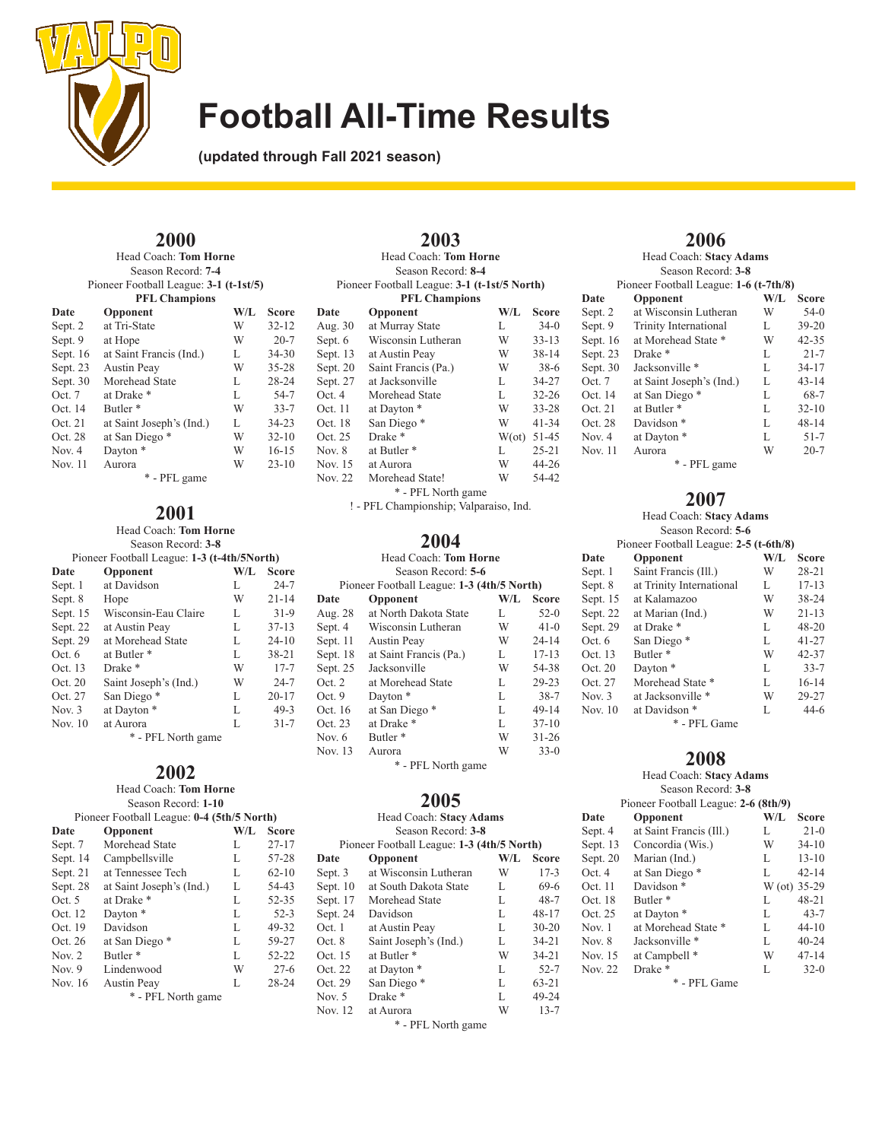

**(updated through Fall 2021 season)**

### **2000**

Head Coach: **Tom Horne** Season Record: **7-4** Pioneer Football League: **3-1 (t-1st/5)**

| <b>PFL Champions</b> |                          |     |           |
|----------------------|--------------------------|-----|-----------|
| Date                 | Opponent                 | W/L | Score     |
| Sept. 2              | at Tri-State             | W   | $32 - 12$ |
| Sept. 9              | at Hope                  | W   | $20 - 7$  |
| Sept. $16$           | at Saint Francis (Ind.)  | L   | $34 - 30$ |
| Sept. 23             | <b>Austin Peay</b>       | W   | $35 - 28$ |
| Sept. 30             | Morehead State           | L   | $28 - 24$ |
| Oct.7                | at Drake *               | L   | $54 - 7$  |
| Oct. 14              | Butler <sup>*</sup>      | W   | $33 - 7$  |
| Oct. 21              | at Saint Joseph's (Ind.) | L   | $34 - 23$ |
| Oct. 28              | at San Diego *           | W   | $32 - 10$ |
| Nov. $4$             | Dayton <sup>*</sup>      | W   | $16 - 15$ |
| <b>Nov. 11</b>       | Aurora                   | W   | $23 - 10$ |
|                      | * - PFL game             |     |           |

# **2001**

Head Coach: **Tom Horne** Season Record: **3-8**

Pioneer Football League: **1-3 (t-4th/5North)**

| Date     | Opponent               | W/L | <b>Score</b> |
|----------|------------------------|-----|--------------|
| Sept. 1  | at Davidson            | L   | $24 - 7$     |
| Sept. 8  | Hope                   | W   | $21 - 14$    |
| Sept. 15 | Wisconsin-Eau Claire   | L   | $31-9$       |
| Sept. 22 | at Austin Peay         | L   | $37 - 13$    |
| Sept. 29 | at Morehead State      | L   | $24 - 10$    |
| Oct. $6$ | at Butler <sup>*</sup> | L   | $38 - 21$    |
| Oct. 13  | Drake <sup>*</sup>     | W   | $17 - 7$     |
| Oct. 20  | Saint Joseph's (Ind.)  | W   | $24 - 7$     |
| Oct. 27  | San Diego*             | L   | $20 - 17$    |
| Nov. $3$ | at Dayton *            | L   | $49-3$       |
| Nov. 10  | at Aurora              | L   | $31 - 7$     |

\* - PFL North game

### **2002**

#### Head Coach: **Tom Horne** Season Record: **1-10** Pioneer Football League: **0-4 (5th/5 North)**

| Date     | Opponent                 | W/L | Score     |
|----------|--------------------------|-----|-----------|
| Sept. 7  | Morehead State           | L   | $27 - 17$ |
| Sept. 14 | Campbellsville           | L   | 57-28     |
| Sept. 21 | at Tennessee Tech        | L   | $62 - 10$ |
| Sept. 28 | at Saint Joseph's (Ind.) | L   | 54-43     |
| Oct. 5   | at Drake *               | L   | $52 - 35$ |
| Oct. 12  | Dayton <sup>*</sup>      | L   | $52-3$    |
| Oct. 19  | Davidson                 | L   | 49-32     |
| Oct. 26  | at San Diego *           | L   | 59-27     |
| Nov. $2$ | Butler <sup>*</sup>      | L   | 52-22     |
| Nov. $9$ | Lindenwood               | W   | $27 - 6$  |
| Nov. 16  | <b>Austin Peay</b>       | L   | $28 - 24$ |
|          | * - PFL North game       |     |           |

|                | 2003<br>Head Coach: Tom Horne<br>Season Record: 8-4 |     |                      |
|----------------|-----------------------------------------------------|-----|----------------------|
|                | Pioneer Football League: 3-1 (t-1st/5 North)        |     |                      |
|                | <b>PFL Champions</b>                                |     |                      |
| Date           | Opponent                                            | W/L | <b>Score</b>         |
| Aug. 30        | at Murray State                                     | L   | $34-0$               |
| Sept. 6        | Wisconsin Lutheran                                  | W   | $33 - 13$            |
| Sept. 13       | at Austin Peay                                      | W   | $38 - 14$            |
| Sept. 20       | Saint Francis (Pa.)                                 | W   | $38-6$               |
| Sept. 27       | at Jacksonville                                     | L   | $34 - 27$            |
| Oct. 4         | Morehead State                                      | L   | $32 - 26$            |
| Oct. 11        | at Dayton *                                         | W   | $33 - 28$            |
| Oct. 18        | San Diego*                                          | W   | $41 - 34$            |
| Oct. 25        | Drake <sup>*</sup>                                  |     | $W(\text{ot})$ 51-45 |
| Nov. 8         | at Butler <sup>*</sup>                              | L   | $25 - 21$            |
| Nov. 15        | at Aurora                                           | W   | $44 - 26$            |
| <b>Nov. 22</b> | Morehead State!                                     | W   | 54-42                |
|                | * - PFL North game                                  |     |                      |

! - PFL Championship; Valparaiso, Ind.

### **2004**

#### Head Coach: **Tom Horne** Season Record: **5-6**

|          | эеахон кесоги: э-о                         |     |              |
|----------|--------------------------------------------|-----|--------------|
|          | Pioneer Football League: 1-3 (4th/5 North) |     |              |
| Date     | Opponent                                   | W/L | <b>Score</b> |
| Aug. 28  | at North Dakota State                      | L   | $52-0$       |
| Sept. 4  | Wisconsin Lutheran                         | W   | $41-0$       |
| Sept. 11 | <b>Austin Peay</b>                         | W   | $24 - 14$    |
| Sept. 18 | at Saint Francis (Pa.)                     | L   | $17 - 13$    |
| Sept. 25 | Jacksonville                               | W   | 54-38        |
| Oct. 2   | at Morehead State                          | L   | 29-23        |
| Oct. 9   | Dayton <sup>*</sup>                        | L   | $38 - 7$     |
| Oct. 16  | at San Diego *                             | L   | $49-14$      |
| Oct. 23  | at Drake *                                 | L   | $37 - 10$    |
| Nov. 6   | Butler <sup>*</sup>                        | W   | $31 - 26$    |
| Nov. 13  | Aurora                                     | W   | $33-0$       |
|          | * - PFL North game                         |     |              |

### **2005**

|            | Head Coach: Stacy Adams                    |     |              |
|------------|--------------------------------------------|-----|--------------|
|            | Season Record: 3-8                         |     |              |
|            | Pioneer Football League: 1-3 (4th/5 North) |     |              |
| Date       | Opponent                                   | W/L | <b>Score</b> |
| Sept. 3    | at Wisconsin Lutheran                      | W   | $17-3$       |
| Sept. $10$ | at South Dakota State                      | L   | 69-6         |
| Sept. 17   | Morehead State                             | L   | $48 - 7$     |
| Sept. 24   | Davidson                                   | L   | $48 - 17$    |
| Oct. 1     | at Austin Peay                             | L   | $30 - 20$    |
| Oct. 8     | Saint Joseph's (Ind.)                      | L   | $34 - 21$    |
| Oct. 15    | at Butler <sup>*</sup>                     | W   | $34 - 21$    |
| Oct. 22    | at Dayton *                                | L   | $52 - 7$     |
| Oct. 29    | San Diego*                                 | L   | $63 - 21$    |
| Nov. $5$   | Drake <sup>*</sup>                         | L   | 49-24        |
| Nov. 12    | at Aurora                                  | W   | $13 - 7$     |

\* - PFL North game

## **2006**

|            | Head Coach: Stacy Adams                |     |              |
|------------|----------------------------------------|-----|--------------|
|            | Season Record: 3-8                     |     |              |
|            | Pioneer Football League: 1-6 (t-7th/8) |     |              |
| Date       | Opponent                               | W/I | <b>Score</b> |
| Sept. 2    | at Wisconsin Lutheran                  | W   | $54-0$       |
| Sept. 9    | <b>Trinity International</b>           | L   | $39 - 20$    |
| Sept. $16$ | at Morehead State *                    | W   | $42 - 35$    |
| Sept. 23   | Drake <sup>*</sup>                     | L   | $21 - 7$     |
| Sept. 30   | Jacksonville *                         | L   | $34 - 17$    |
| Oct.7      | at Saint Joseph's (Ind.)               | L   | $43 - 14$    |
| Oct. 14    | at San Diego *                         | L   | $68 - 7$     |
| Oct. 21    | at Butler <sup>*</sup>                 | L   | $32 - 10$    |
| Oct. 28    | Davidson <sup>*</sup>                  | L   | $48 - 14$    |
| Nov. 4     | at Dayton *                            | L   | $51 - 7$     |
| Nov. 11    | Aurora                                 | W   | $20 - 7$     |
|            | * - PFL game                           |     |              |

### **2007**

### Head Coach: **Stacy Adams**

|          | Tread Couch, biaty Adams               |     |              |
|----------|----------------------------------------|-----|--------------|
|          | Season Record: 5-6                     |     |              |
|          | Pioneer Football League: 2-5 (t-6th/8) |     |              |
| Date     | Opponent                               | W/L | <b>Score</b> |
| Sept. 1  | Saint Francis (Ill.)                   | W   | $28 - 21$    |
| Sept. 8  | at Trinity International               | L   | $17 - 13$    |
| Sept. 15 | at Kalamazoo                           | W   | 38-24        |
| Sept. 22 | at Marian (Ind.)                       | W   | $21 - 13$    |
| Sept. 29 | at Drake *                             | L   | $48 - 20$    |
| Oct.6    | San Diego*                             | L   | $41 - 27$    |
| Oct. 13  | Butler <sup>*</sup>                    | W   | 42-37        |
| Oct. 20  | Dayton <sup>*</sup>                    | L   | $33 - 7$     |
| Oct. 27  | Morehead State *                       | L   | $16 - 14$    |
| Nov. $3$ | at Jacksonville *                      | W   | 29-27        |
| Nov. 10  | at Davidson *                          | L   | $44-6$       |

\* - PFL Game

### **2008**

### Head Coach: **Stacy Adams** Season Record: **3-8**

|          | Pioneer Football League: 2-6 (8th/9) |              |           |
|----------|--------------------------------------|--------------|-----------|
| Date     | Opponent                             | W/L          | Score     |
| Sept. 4  | at Saint Francis (Ill.)              | L            | $21-0$    |
| Sept. 13 | Concordia (Wis.)                     | W            | $34-10$   |
| Sept. 20 | Marian (Ind.)                        | L            | $13 - 10$ |
| Oct.4    | at San Diego *                       | L            | $42 - 14$ |
| Oct. 11  | Davidson <sup>*</sup>                | W (ot) 35-29 |           |
| Oct. 18  | Butler <sup>*</sup>                  | L            | 48-21     |
| Oct. 25  | at Dayton *                          | L            | $43 - 7$  |
| Nov. $1$ | at Morehead State *                  | L            | $44 - 10$ |
| Nov. $8$ | Jacksonville *                       | L            | $40 - 24$ |
| Nov. 15  | at Campbell *                        | W            | $47 - 14$ |
| Nov. 22  | Drake <sup>*</sup>                   | L            | $32-0$    |
|          | * - PFL Game                         |              |           |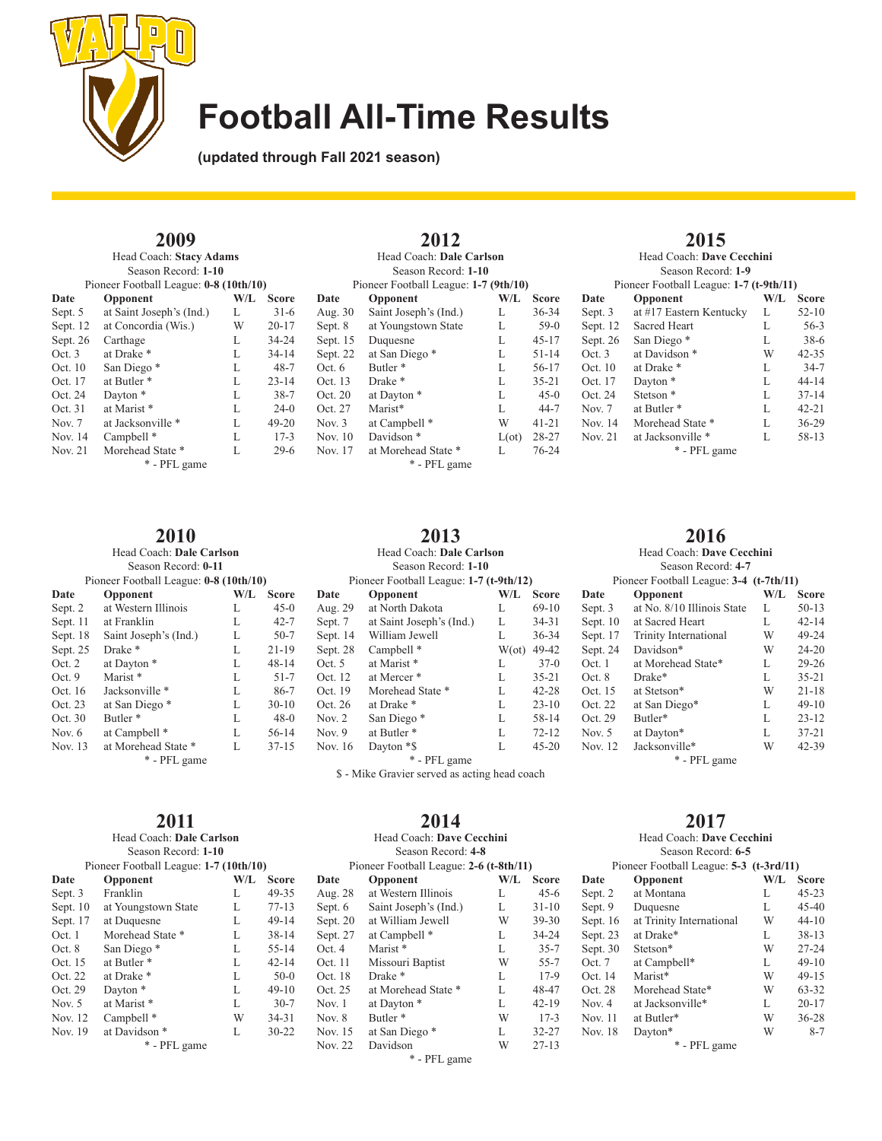

**2012** Head Coach: **Dale Carlson** Season Record: **1-10** Pioneer Football League: **1-7 (9th/10) Date Opponent W/L Score**<br>Aug. 30 Saint Joseph's (Ind.) L 36-34 Aug. 30 Saint Joseph's (Ind.) L 36-34<br>Sept. 8 at Youngstown State L 59-0 Sept. 8 at Youngstown State L 59-0<br>Sept. 15 Duquesne L 45-17 Duquesne L Sept. 22 at San Diego \* L 51-14

Nov. 17 at Morehead State \* L

\* - PFL game

**2013** Head Coach: **Dale Carlson** Season Record: **1-10** Pioneer Football League: **1-7 (t-9th/12)**<br>Opponent W/L **Date Opponent W/L Score**<br>Aug. 29 at North Dakota **L** 69-10

Sept. 7 at Saint Joseph's (Ind.) L 34-31<br>Sept. 14 William Jewell L 36-34 Sept. 14 William Jewell L

Sept. 28 Campbell \* W(ot) 49-42<br>Oct. 5 at Marist \* L 37-0 Oct. 5 at Marist \* L 37-0<br>Oct. 12 at Mercer \* L 35-21

Oct. 19 Morehead State \* L 42-28<br>Oct. 26 at Drake \* L 23-10 at Drake \* L Nov. 2 San Diego \* L 58-14<br>Nov. 9 at Butler \* L 72-12 Nov. 9 at Butler \* L 72-12<br>Nov. 16 Dayton \*\$ L 45-20

at Mercer \*

Dayton \*\$

at North Dakota L<br>at Saint Joseph's (Ind.) L<br>34-31

**(updated through Fall 2021 season)**

### **2009**

| Head Coach: Stacy Adams |                                        |     |              |
|-------------------------|----------------------------------------|-----|--------------|
|                         | Season Record: 1-10                    |     |              |
|                         | Pioneer Football League: 0-8 (10th/10) |     |              |
| Date                    | Opponent                               | W/L | <b>Score</b> |
| Sept. 5                 | at Saint Joseph's (Ind.)               | L   | $31-6$       |
| Sept. 12                | at Concordia (Wis.)                    | W   | $20 - 17$    |
| Sept. 26                | Carthage                               | L   | 34-24        |
| Oct. 3                  | at Drake *                             | L   | $34 - 14$    |
| Oct. 10                 | San Diego*                             | L   | $48 - 7$     |
| Oct. 17                 | at Butler <sup>*</sup>                 | L   | $23 - 14$    |
| Oct. 24                 | Dayton <sup>*</sup>                    | L   | $38 - 7$     |
| Oct. 31                 | at Marist *                            | L   | $24-0$       |
| Nov. 7                  | at Jacksonville *                      | L   | $49 - 20$    |
| Nov. 14                 | Campbell <sup>*</sup>                  | L   | $17 - 3$     |
| Nov. 21                 | Morehead State *                       | L   | $29-6$       |
| * - PFL game            |                                        |     |              |

### **2010**

Head Coach: **Dale Carlson** Season Record: **0-11**

|          | Pioneer Football League: 0-8 (10th/10) |     |           |
|----------|----------------------------------------|-----|-----------|
| Date     | Opponent                               | W/L | Score     |
| Sept. 2  | at Western Illinois                    | L   | $45-0$    |
| Sept. 11 | at Franklin                            | L   | $42 - 7$  |
| Sept. 18 | Saint Joseph's (Ind.)                  | L   | $50 - 7$  |
| Sept. 25 | Drake <sup>*</sup>                     | L   | $21 - 19$ |
| Oct. 2   | at Dayton *                            | L   | $48 - 14$ |
| Oct.9    | Marist*                                | L   | $51 - 7$  |
| Oct. 16  | Jacksonville *                         | L   | $86 - 7$  |
| Oct. 23  | at San Diego *                         | L   | $30-10$   |
| Oct. 30  | Butler <sup>*</sup>                    | L   | $48-0$    |
| Nov. $6$ | at Campbell *                          | L   | 56-14     |
| Nov. 13  | at Morehead State *                    | L   | $37 - 15$ |
|          | * - PFL game                           |     |           |
|          |                                        |     |           |

### **2011**

| Season Record: 1-10    |         |                                                                    |
|------------------------|---------|--------------------------------------------------------------------|
|                        |         |                                                                    |
| Opponent               | $W/I$ . | Score                                                              |
| Franklin               | L       | 49-35                                                              |
| at Youngstown State    | L       | $77 - 13$                                                          |
| at Duquesne            | L       | $49 - 14$                                                          |
| Morehead State *       | L       | $38 - 14$                                                          |
| San Diego*             | L       | $55 - 14$                                                          |
| at Butler <sup>*</sup> | L       | $42 - 14$                                                          |
| at Drake *             | L       | $50-0$                                                             |
| Dayton <sup>*</sup>    | L       | $49 - 10$                                                          |
| at Marist *            | L       | $30 - 7$                                                           |
| Campbell <sup>*</sup>  | W       | $34 - 31$                                                          |
| at Davidson *          | L       | $30 - 22$                                                          |
| * - PFL game           |         |                                                                    |
|                        |         | Head Coach: Dale Carlson<br>Pioneer Football League: 1-7 (10th/10) |

## **2014**

\* - PFL game \$ - Mike Gravier served as acting head coach

#### Head Coach: **Dave Cecchini** Season Record: **4-8** Pioneer Football League: **2-6 (t-8th/11) Date Opponent W/L Score**<br>Aug. 28 at Western Illinois L 45-6 at Western Illinois L<br>Saint Joseph's (Ind.) L<br> $31-10$ Sept. 6 Saint Joseph's (Ind.) L 31-10<br>Sept. 20 at William Jewell W 39-30 Sept. 20 at William Jewell Sept. 27 at Campbell \* L 34-24<br>Oct. 4 Marist \* L 35-7 Oct. 4 Marist \* L 35-7<br>Oct. 11 Missouri Baptist W 55-7 Missouri Baptist Oct. 18 Drake \* L 17-9<br>Oct. 25 at Morehead State \* L 48-47 at Morehead State \* Nov. 1 at Dayton \* L 42-19 Nov. 8 Butler \* W 17-3<br>Nov. 15 at San Diego \* L 32-27 at San Diego \* Nov. 22 Davidson W 27-13 \* - PFL game

|          | Head Coach: Dave Cecchini               |     |              |
|----------|-----------------------------------------|-----|--------------|
|          | Season Record: 6-5                      |     |              |
|          | Pioneer Football League: 5-3 (t-3rd/11) |     |              |
| Date     | Opponent                                | W/I | <b>Score</b> |
| Sept. 2  | at Montana                              | L   | $45 - 23$    |
| Sept. 9  | Duquesne                                | L   | $45 - 40$    |
| Sept. 16 | at Trinity International                | W   | $44 - 10$    |
| Sept. 23 | at Drake*                               | L   | $38 - 13$    |
| Sept. 30 | Stetson*                                | W   | $27 - 24$    |
| Oct.7    | at Campbell*                            | L   | $49 - 10$    |
| Oct. 14  | Marist*                                 | W   | $49 - 15$    |
| Oct. 28  | Morehead State*                         | W   | 63-32        |
| Nov. $4$ | at Jacksonville*                        | L   | $20 - 17$    |
| Nov. 11  | at Butler*                              | W   | $36 - 28$    |
| Nov. 18  | Davton*                                 | W   | 8-7          |

\* - PFL game

### **2016** Head Coach: **Dave Cecchini**

|            | Season Record: 4-7                      |     |              |
|------------|-----------------------------------------|-----|--------------|
|            | Pioneer Football League: 3-4 (t-7th/11) |     |              |
| Date       | Opponent                                | W/L | <b>Score</b> |
| Sept. 3    | at No. 8/10 Illinois State              | L   | $50 - 13$    |
| Sept. $10$ | at Sacred Heart                         | L   | $42 - 14$    |
| Sept. 17   | Trinity International                   | W   | 49-24        |
| Sept. 24   | Davidson*                               | W   | $24 - 20$    |
| Oct. 1     | at Morehead State*                      | L   | $29 - 26$    |
| Oct. 8     | Drake*                                  | L   | $35 - 21$    |
| Oct. 15    | at Stetson*                             | W   | $21 - 18$    |
| Oct. 22    | at San Diego*                           | L   | $49-10$      |
| Oct. 29    | Butler*                                 | L   | $23 - 12$    |
| Nov. 5     | at Dayton*                              | L   | $37 - 21$    |
| Nov. 12    | Jacksonville*                           | W   | $42 - 39$    |

\* - PFL game

**2017**

| Season Recor |
|--------------|
| otball Leagu |

| Oct. $6$ | Butler <sup>*</sup>         |                | 56-17     |         | Oct. 10 at Drake $*$               | $34 - 7$  |
|----------|-----------------------------|----------------|-----------|---------|------------------------------------|-----------|
| Oct. 13  | Drake *                     |                | $35 - 21$ | Oct. 17 | Davton <sup>*</sup>                | $44 - 14$ |
| Oct. 20  | at Dayton *                 |                | $45-0$    | Oct. 24 | Stetson <sup>*</sup>               | $37 - 14$ |
| Oct. 27  | Marist*                     |                | 44-7      | Nov. 7  | at Butler *                        | $42 - 21$ |
| Nov. $3$ | at Campbell *               | W              | $41 - 21$ | Nov. 14 | Morehead State *                   | $36 - 29$ |
| Nov. 10  | Davidson <sup>*</sup>       | $L(\text{ot})$ | 28-27     |         | Nov. 21 $\alpha$ at Jacksonville * | 58-13     |
|          | Nov. 17 at Morehead State * |                | 76-24     |         | * - PFL game                       |           |

**Date Opponent W/L Score**<br>Sept. 3 at #17 Eastern Kentucky L 52-10 Sept. 3 at  $#17$  Eastern Kentucky L Sept. 12 Sacred Heart L 56-3<br>Sept. 26 San Diego \* L 38-6

Sept. 26 San Diego \* L

**2015** Head Coach: **Dave Cecchini** Season Record: **1-9** Pioneer Football League: **1-7 (t-9th/11)**

Oct. 3 at Davidson \* W 42-35

| OCL. 24 | Stetson <sup>*</sup>   |   | $21 - 14$ |
|---------|------------------------|---|-----------|
| Nov. 7  | at Butler <sup>*</sup> | L | $42 - 21$ |
| Nov. 14 | Morehead State *       | L | $36 - 29$ |
| Nov. 21 | at Jacksonville *      | L | 58-13     |
|         | * - PFL game           |   |           |
|         |                        |   |           |
|         |                        |   |           |
|         |                        |   |           |
|         |                        |   |           |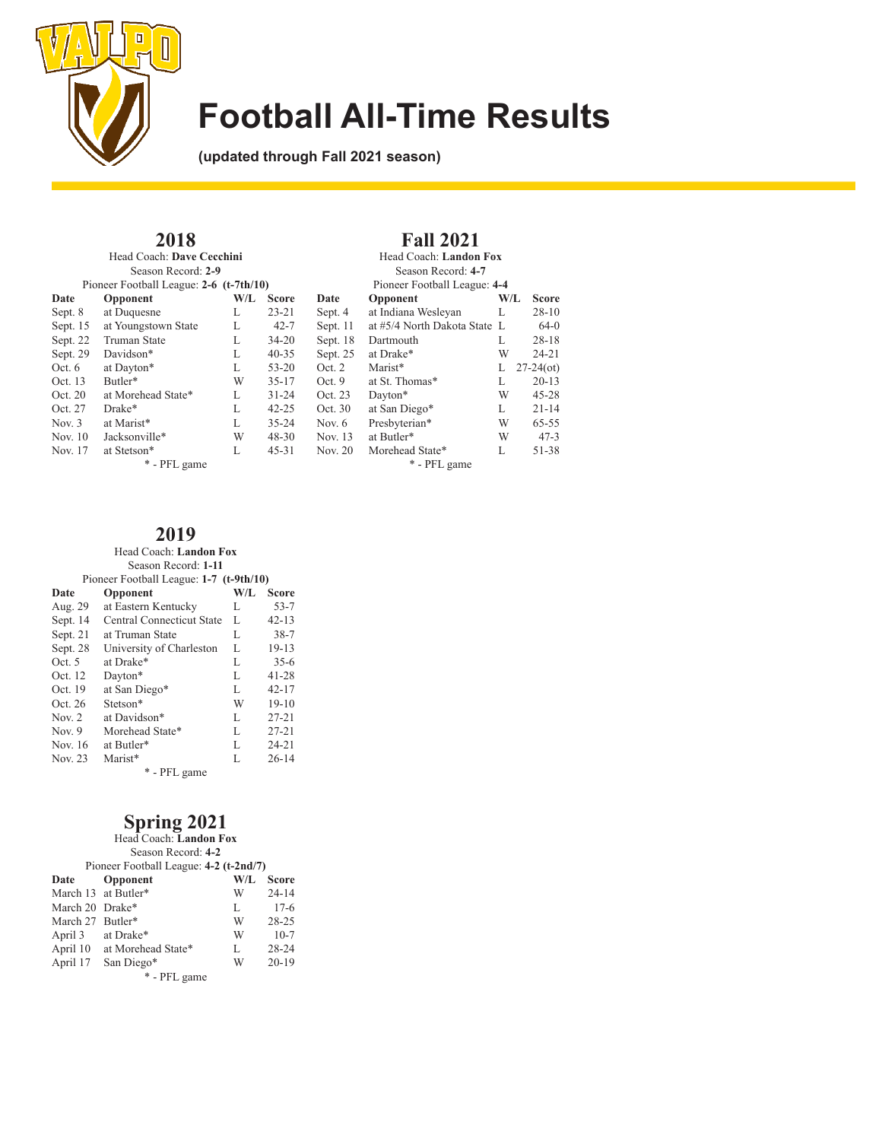

**Fall 2021** Head Coach: **Landon Fox** Season Record: **4-7**

Pioneer Football League: **4-4**<br>**Opponent** W/L Score

**(updated through Fall 2021 season)**

**2018**

Head Coach: **Dave Cecchini** Season Record: **2-9** Pioneer Football League: **2-6 (t-7th/10)**

|           | Proneer Pootball League: $2-6$ ( $t$ -/ $tn/10$ ) |     | Proneer Football League: 4-4 |          |                              |     |              |
|-----------|---------------------------------------------------|-----|------------------------------|----------|------------------------------|-----|--------------|
| Date      | Opponent                                          | W/L | <b>Score</b>                 | Date     | <b>Opponent</b>              | W/L | <b>Score</b> |
| Sept. 8   | at Duquesne                                       | L   | $23 - 21$                    | Sept. 4  | at Indiana Wesleyan          | L   | $28-10$      |
| Sept. 15  | at Youngstown State                               | L   | $42 - 7$                     | Sept. 11 | at #5/4 North Dakota State L |     | 64-0         |
| Sept. 22  | <b>Truman State</b>                               | L   | $34 - 20$                    | Sept. 18 | Dartmouth                    | L   | $28 - 18$    |
| Sept. 29  | Davidson*                                         | L   | $40 - 35$                    | Sept. 25 | at Drake*                    | W   | $24 - 21$    |
| Oct. 6    | at Dayton*                                        | L   | $53 - 20$                    | Oct. 2   | Marist*                      | L   | $27-24$ (ot) |
| Oct. 13   | Butler*                                           | W   | $35 - 17$                    | Oct.9    | at St. Thomas*               | L   | $20 - 13$    |
| Oct. 20   | at Morehead State*                                | L   | $31 - 24$                    | Oct. 23  | Davton*                      | W   | $45 - 28$    |
| Oct. 27   | Drake*                                            | L   | $42 - 25$                    | Oct. 30  | at San Diego*                | L   | $21 - 14$    |
| Nov. $3$  | at Marist*                                        | L   | $35 - 24$                    | Nov. $6$ | Presbyterian*                | W   | $65 - 55$    |
| Nov. $10$ | Jacksonville*                                     | W   | $48 - 30$                    | Nov. 13  | at Butler*                   | W   | $47-3$       |
| Nov. 17   | at Stetson*                                       | L   | $45 - 31$                    | Nov. 20  | Morehead State*              | L   | 51-38        |
|           | * - PFL game                                      |     | * - PFL game                 |          |                              |     |              |

### **2019**

### Head Coach: **Landon Fox**

| Season Record: 1-11                     |                           |              |           |  |  |  |  |  |
|-----------------------------------------|---------------------------|--------------|-----------|--|--|--|--|--|
| Pioneer Football League: 1-7 (t-9th/10) |                           |              |           |  |  |  |  |  |
| Date                                    | W/L                       | <b>Score</b> |           |  |  |  |  |  |
| Aug. 29                                 | at Eastern Kentucky       | L            | $53 - 7$  |  |  |  |  |  |
| Sept. 14                                | Central Connecticut State | L            | $42 - 13$ |  |  |  |  |  |
| Sept. 21                                | at Truman State           | L            | $38 - 7$  |  |  |  |  |  |
| Sept. 28                                | University of Charleston  | L            | $19-13$   |  |  |  |  |  |
| Oct. 5                                  | at Drake*                 | L            | $35-6$    |  |  |  |  |  |
| Oct. 12                                 | Dayton*                   | L            | 41-28     |  |  |  |  |  |
| Oct. 19                                 | at San Diego*             | L            | $42 - 17$ |  |  |  |  |  |
| Oct. 26                                 | Stetson*                  | W            | $19-10$   |  |  |  |  |  |
| Nov. $2$                                | at Davidson*              | L            | $27 - 21$ |  |  |  |  |  |
| Nov. $9$                                | Morehead State*           | L            | $27 - 21$ |  |  |  |  |  |
| Nov. 16                                 | at Butler*                | L            | $24 - 21$ |  |  |  |  |  |
| Nov. 23                                 | Marist*                   | L            | $26 - 14$ |  |  |  |  |  |
| * - PFL game                            |                           |              |           |  |  |  |  |  |

## **Spring 2021**

| Head Coach: Landon Fox |                                        |     |              |  |  |  |  |  |  |  |
|------------------------|----------------------------------------|-----|--------------|--|--|--|--|--|--|--|
|                        | Season Record: 4-2                     |     |              |  |  |  |  |  |  |  |
|                        | Pioneer Football League: 4-2 (t-2nd/7) |     |              |  |  |  |  |  |  |  |
| Date                   | Opponent                               | W/L | <b>Score</b> |  |  |  |  |  |  |  |
|                        | March 13 at Butler*                    | W   | $24 - 14$    |  |  |  |  |  |  |  |
| March 20 Drake*        |                                        | L   | $17-6$       |  |  |  |  |  |  |  |
| March 27 Butler*       |                                        | W   | $28 - 25$    |  |  |  |  |  |  |  |
| April 3 at Drake*      |                                        | W   | $10-7$       |  |  |  |  |  |  |  |
|                        | April 10 at Morehead State*            | L   | 28-24        |  |  |  |  |  |  |  |
| April 17               | San Diego*                             | W   | $20-19$      |  |  |  |  |  |  |  |
| * - PFL game           |                                        |     |              |  |  |  |  |  |  |  |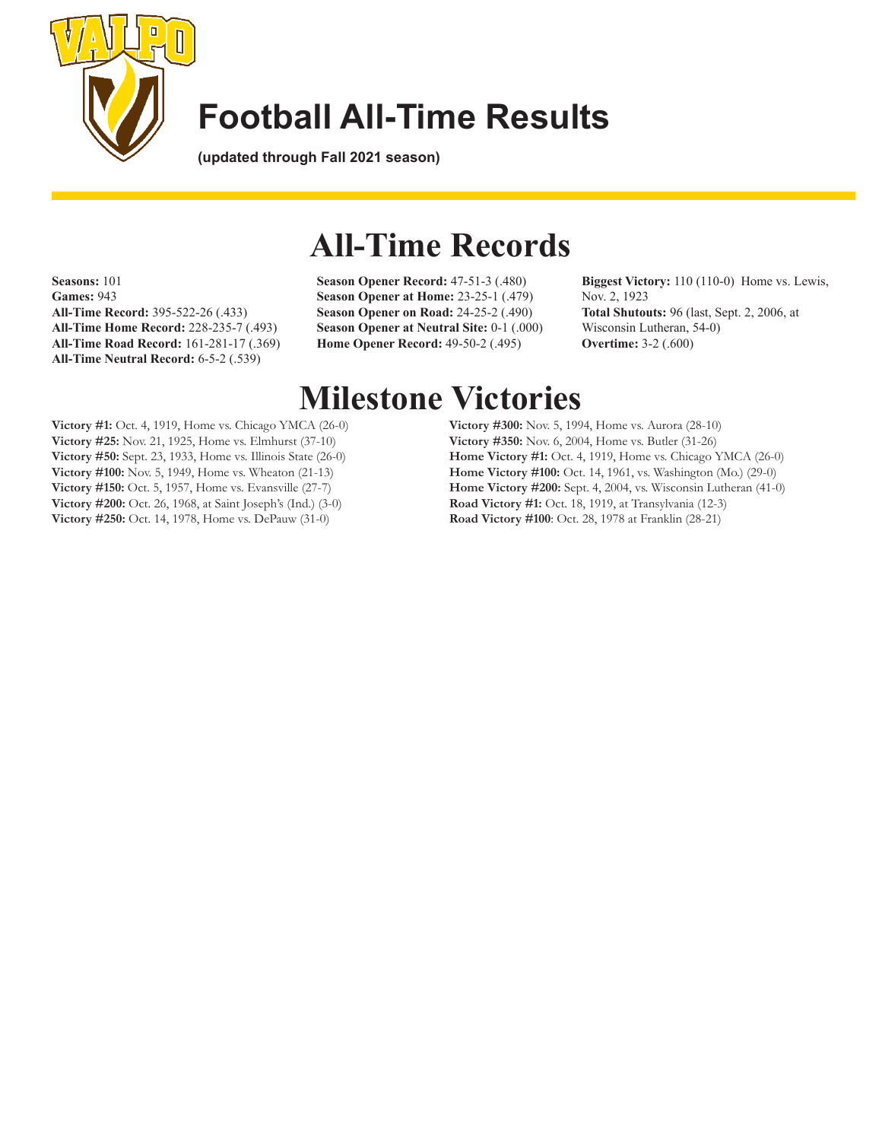

**(updated through Fall 2021 season)**

**Seasons:** 101 **Games:** 943 **All-Time Record:** 395-522-26 (.433) **All-Time Home Record:** 228-235-7 (.493) **All-Time Road Record:** 161-281-17 (.369) **All-Time Neutral Record:** 6-5-2 (.539)

# **All-Time Records**

**Season Opener Record:** 47-51-3 (.480) **Season Opener at Home:** 23-25-1 (.479) **Season Opener on Road:** 24-25-2 (.490) **Season Opener at Neutral Site:** 0-1 (.000) **Home Opener Record:** 49-50-2 (.495)

**Biggest Victory:** 110 (110-0) Home vs. Lewis, Nov. 2, 1923 **Total Shutouts:** 96 (last, Sept. 2, 2006, at Wisconsin Lutheran, 54-0) **Overtime:** 3-2 (.600)

# **Milestone Victories**

**Victory #1:** Oct. 4, 1919, Home vs. Chicago YMCA (26-0) **Victory #25:** Nov. 21, 1925, Home vs. Elmhurst (37-10) **Victory #50:** Sept. 23, 1933, Home vs. Illinois State (26-0) **Victory #100:** Nov. 5, 1949, Home vs. Wheaton (21-13) **Victory #150:** Oct. 5, 1957, Home vs. Evansville (27-7) **Victory #200:** Oct. 26, 1968, at Saint Joseph's (Ind.) (3-0) **Victory #250:** Oct. 14, 1978, Home vs. DePauw (31-0)

**Victory #300:** Nov. 5, 1994, Home vs. Aurora (28-10) **Victory #350:** Nov. 6, 2004, Home vs. Butler (31-26) **Home Victory #1:** Oct. 4, 1919, Home vs. Chicago YMCA (26-0) **Home Victory #100:** Oct. 14, 1961, vs. Washington (Mo.) (29-0) **Home Victory #200:** Sept. 4, 2004, vs. Wisconsin Lutheran (41-0) **Road Victory #1:** Oct. 18, 1919, at Transylvania (12-3) **Road Victory #100**: Oct. 28, 1978 at Franklin (28-21)